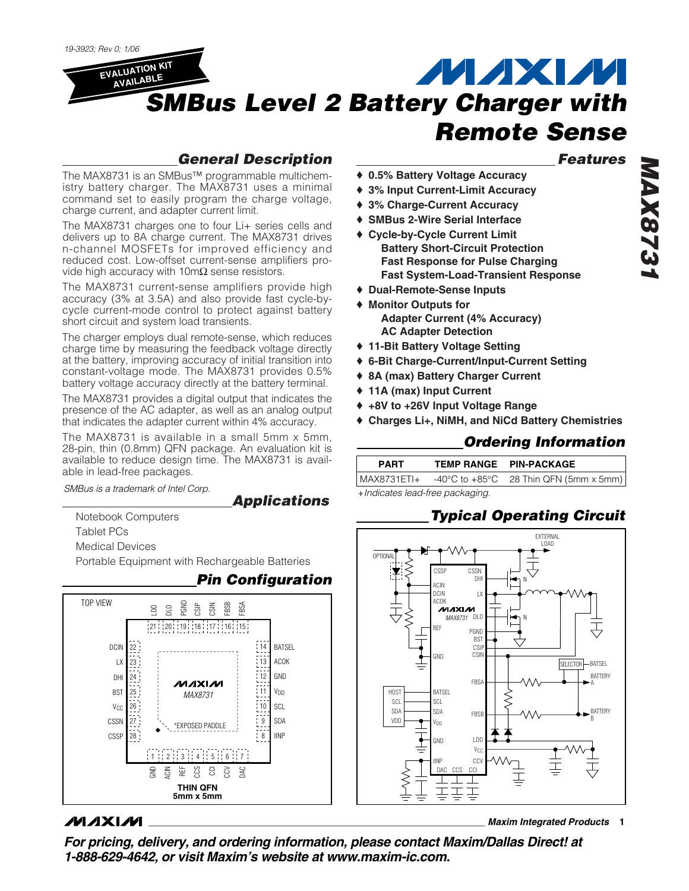

### *General Description*

The MAX8731 is an SMBus™ programmable multichemistry battery charger. The MAX8731 uses a minimal command set to easily program the charge voltage, charge current, and adapter current limit.

The MAX8731 charges one to four Li+ series cells and delivers up to 8A charge current. The MAX8731 drives n-channel MOSFETs for improved efficiency and reduced cost. Low-offset current-sense amplifiers provide high accuracy with  $10 \text{m}\Omega$  sense resistors.

The MAX8731 current-sense amplifiers provide high accuracy (3% at 3.5A) and also provide fast cycle-bycycle current-mode control to protect against battery short circuit and system load transients.

The charger employs dual remote-sense, which reduces charge time by measuring the feedback voltage directly at the battery, improving accuracy of initial transition into constant-voltage mode. The MAX8731 provides 0.5% battery voltage accuracy directly at the battery terminal.

The MAX8731 provides a digital output that indicates the presence of the AC adapter, as well as an analog output that indicates the adapter current within 4% accuracy.

The MAX8731 is available in a small 5mm x 5mm, 28-pin, thin (0.8mm) QFN package. An evaluation kit is available to reduce design time. The MAX8731 is available in lead-free packages.

*SMBus is a trademark of Intel Corp.*  $\begin{array}{ccc}\n\bullet & \bullet & \bullet \\
\hline\n\bullet & \bullet & \bullet\n\end{array}$  +*Indicates lead-free packaging.* 

### *Applications*

Notebook Computers Tablet PCs

Medical Devices

Portable Equipment with Rechargeable Batteries



### **MAXIM**

### *Features*

*MAX8731*

- ♦ **0.5% Battery Voltage Accuracy**
- ♦ **3% Input Current-Limit Accuracy**
- ♦ **3% Charge-Current Accuracy**
- ♦ **SMBus 2-Wire Serial Interface**
- ♦ **Cycle-by-Cycle Current Limit Battery Short-Circuit Protection Fast Response for Pulse Charging Fast System-Load-Transient Response**
- ♦ **Dual-Remote-Sense Inputs**
- ♦ **Monitor Outputs for Adapter Current (4% Accuracy) AC Adapter Detection**
- ♦ **11-Bit Battery Voltage Setting**
- ♦ **6-Bit Charge-Current/Input-Current Setting**
- ♦ **8A (max) Battery Charger Current**
- ♦ **11A (max) Input Current**
- ♦ **+8V to +26V Input Voltage Range**
- ♦ **Charges Li+, NiMH, and NiCd Battery Chemistries**

### *Ordering Information*

| <b>PART</b>   | TEMP RANGE PIN-PACKAGE                                     |
|---------------|------------------------------------------------------------|
| I MAX8731ETI+ | $-40^{\circ}$ C to $+85^{\circ}$ C 28 Thin QFN (5mm x 5mm) |

### *Typical Operating Circuit*



**\_\_\_\_\_\_\_\_\_\_\_\_\_\_\_\_\_\_\_\_\_\_\_\_\_\_\_\_\_\_\_\_\_\_\_\_\_\_\_\_\_\_\_\_\_\_\_\_\_\_\_\_\_\_\_\_\_\_\_\_\_\_\_\_** *Maxim Integrated Products* **1**

*For pricing, delivery, and ordering information, please contact Maxim/Dallas Direct! at 1-888-629-4642, or visit Maxim's website at www.maxim-ic.com.*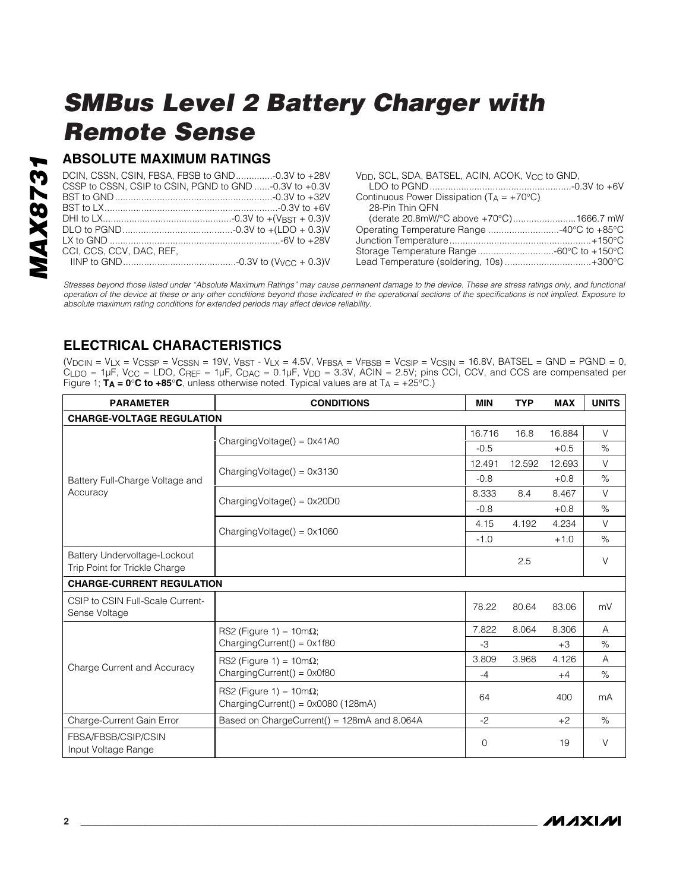### **ABSOLUTE MAXIMUM RATINGS**

|                          | DCIN, CSSN, CSIN, FBSA, FBSB to GND-0.3V to +28V       |
|--------------------------|--------------------------------------------------------|
|                          | CSSP to CSSN, CSIP to CSIN, PGND to GND -0.3V to +0.3V |
|                          |                                                        |
|                          |                                                        |
|                          |                                                        |
|                          |                                                        |
|                          |                                                        |
| CCI. CCS. CCV. DAC. REF. |                                                        |
|                          |                                                        |

| V <sub>DD</sub> , SCL, SDA, BATSEL, ACIN, ACOK, V <sub>CC</sub> to GND, |  |
|-------------------------------------------------------------------------|--|
|                                                                         |  |
| Continuous Power Dissipation ( $T_A = +70^{\circ}C$ )                   |  |
| 28-Pin Thin QFN                                                         |  |
| (derate 20.8mW/°C above +70°C)1666.7 mW                                 |  |
| Operating Temperature Range 40°C to +85°C                               |  |
|                                                                         |  |
|                                                                         |  |
| Lead Temperature (soldering, 10s)+300°C                                 |  |
|                                                                         |  |

*Stresses beyond those listed under "Absolute Maximum Ratings" may cause permanent damage to the device. These are stress ratings only, and functional operation of the device at these or any other conditions beyond those indicated in the operational sections of the specifications is not implied. Exposure to absolute maximum rating conditions for extended periods may affect device reliability.*

### **ELECTRICAL CHARACTERISTICS**

 $(V_{DCIN} = V_{LX} = V_{CSSP} = V_{CSSN} = 19V$ ,  $V_{BST} - V_{LX} = 4.5V$ ,  $V_{FBSA} = V_{FBSB} = V_{CSIP} = V_{CSIN} = 16.8V$ , BATSEL = GND = PGND = 0, CLDO = 1µF, VCC = LDO, CREF = 1µF, CDAC = 0.1µF, VDD = 3.3V, ACIN = 2.5V; pins CCI, CCV, and CCS are compensated per Figure 1;  $T_A = 0^\circ \text{C}$  to  $+85^\circ \text{C}$ , unless otherwise noted. Typical values are at  $T_A = +25^\circ \text{C}$ .)

| <b>PARAMETER</b>                                              | <b>CONDITIONS</b>                                                      | <b>MIN</b> | <b>TYP</b> | <b>MAX</b> | <b>UNITS</b> |
|---------------------------------------------------------------|------------------------------------------------------------------------|------------|------------|------------|--------------|
| <b>CHARGE-VOLTAGE REGULATION</b>                              |                                                                        |            |            |            |              |
|                                                               |                                                                        | 16.716     | 16.8       | 16.884     | $\vee$       |
|                                                               | $ChargingVoltage() = 0x41A0$                                           | $-0.5$     |            | $+0.5$     | $\%$         |
|                                                               |                                                                        | 12.491     | 12.592     | 12.693     | V            |
| Battery Full-Charge Voltage and                               | $ChargingVoltage() = 0x3130$                                           | $-0.8$     |            | $+0.8$     | %            |
| Accuracy                                                      | $ChargingVoltage() = 0x20D0$                                           | 8.333      | 8.4        | 8.467      | V            |
|                                                               |                                                                        | $-0.8$     |            | $+0.8$     | %            |
|                                                               | $ChargingVoltage() = 0x1060$                                           | 4.15       | 4.192      | 4.234      | $\vee$       |
|                                                               |                                                                        | $-1.0$     |            | $+1.0$     | $\%$         |
| Battery Undervoltage-Lockout<br>Trip Point for Trickle Charge |                                                                        |            | 2.5        |            | $\vee$       |
| <b>CHARGE-CURRENT REGULATION</b>                              |                                                                        |            |            |            |              |
| CSIP to CSIN Full-Scale Current-<br>Sense Voltage             |                                                                        | 78.22      | 80.64      | 83.06      | mV           |
|                                                               | RS2 (Figure 1) = $10m\Omega$ ;<br>ChargingCurrent() = $0 \times 1f80$  | 7.822      | 8.064      | 8.306      | A            |
|                                                               |                                                                        | $-3$       |            | $+3$       | $\%$         |
|                                                               | RS2 (Figure 1) = $10m\Omega$ ;                                         | 3.809      | 3.968      | 4.126      | A            |
| Charge Current and Accuracy                                   | ChargingCurrent() = $0 \times 0f80$                                    | $-4$       |            | $+4$       | $\%$         |
|                                                               | RS2 (Figure 1) = $10m\Omega$ ;<br>ChargingCurrent() = $0x0080$ (128mA) | 64         |            | 400        | mA           |
| Charge-Current Gain Error                                     | Based on ChargeCurrent() = 128mA and 8.064A                            | $-2$       |            | $+2$       | $\%$         |
| FBSA/FBSB/CSIP/CSIN<br>Input Voltage Range                    |                                                                        | 0          |            | 19         | V            |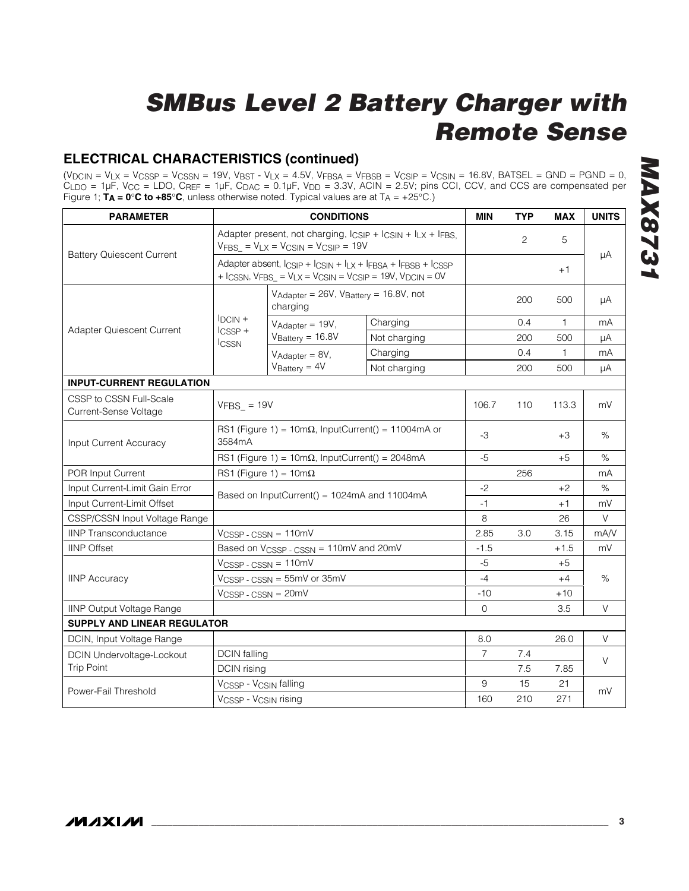### **ELECTRICAL CHARACTERISTICS (continued)**

(VDCIN = VLX = VCSSP = VCSSN = 19V, VBST - VLX = 4.5V, VFBSA = VFBSB = VCSIP = VCSIN = 16.8V, BATSEL = GND = PGND = 0,  $C_{\text{LDO}}$  = 1µF, V<sub>CC</sub> = LDO, C<sub>REF</sub> = 1µF, C<sub>DAC</sub> = 0.1µF, V<sub>DD</sub> = 3.3V, ACIN = 2.5V; pins CCI, CCV, and CCS are compensated per Figure 1; **TA = 0**°**C to +85**°**C**, unless otherwise noted. Typical values are at TA = +25°C.)

| <b>PARAMETER</b>                                 |                                                         | <b>CONDITIONS</b>                                                                                                   |                                                                                                                                       | <b>MIN</b>     | <b>TYP</b>     | <b>MAX</b>   | <b>UNITS</b> |
|--------------------------------------------------|---------------------------------------------------------|---------------------------------------------------------------------------------------------------------------------|---------------------------------------------------------------------------------------------------------------------------------------|----------------|----------------|--------------|--------------|
|                                                  |                                                         | Adapter present, not charging, $l_{CSIP}$ + $l_{CSIN}$ + $l_{LX}$ + $l_{FBS}$<br>$VFBS = VLX = VCSIN = VCSIP = 19V$ |                                                                                                                                       |                | $\overline{c}$ | 5            |              |
| <b>Battery Quiescent Current</b>                 |                                                         |                                                                                                                     | Adapter absent, ICSIP + ICSIN + ILX + IFBSA + IFBSB + ICSSP<br>$+$ ICSSN, $V$ FBS = $V$ LX = $V$ CSIN = $V$ CSIP = 19V, $V$ DCIN = 0V |                |                | $+1$         | μA           |
|                                                  |                                                         | $V_{\text{Adapter}} = 26V$ , $V_{\text{Buffery}} = 16.8V$ , not<br>charging                                         |                                                                                                                                       |                | 200            | 500          | μA           |
|                                                  | $IDCIN +$                                               | $V_{Adatter} = 19V$ ,                                                                                               | Charging                                                                                                                              |                | 0.4            | $\mathbf{1}$ | mA           |
| Adapter Quiescent Current                        | $l$ <sub>CSSP</sub> +<br><b>ICSSN</b>                   | $V_{Battery} = 16.8V$                                                                                               | Not charging                                                                                                                          |                | 200            | 500          | μA           |
|                                                  |                                                         | $V_{Adapter} = 8V$ ,                                                                                                | Charging                                                                                                                              |                | 0.4            | 1            | mA           |
|                                                  |                                                         | $V_{\text{Battery}} = 4V$                                                                                           | Not charging                                                                                                                          |                | 200            | 500          | μA           |
| <b>INPUT-CURRENT REGULATION</b>                  |                                                         |                                                                                                                     |                                                                                                                                       |                |                |              |              |
| CSSP to CSSN Full-Scale<br>Current-Sense Voltage | $VFBS_ = 19V$                                           |                                                                                                                     |                                                                                                                                       | 106.7          | 110            | 113.3        | mV           |
| Input Current Accuracy                           | 3584mA                                                  | RS1 (Figure 1) = $10m\Omega$ , InputCurrent() = 11004mA or                                                          |                                                                                                                                       | $-3$           |                | $+3$         | %            |
|                                                  | RS1 (Figure 1) = 10m $\Omega$ , InputCurrent() = 2048mA |                                                                                                                     | $-5$                                                                                                                                  |                | $+5$           | $\%$         |              |
| POR Input Current                                |                                                         | RS1 (Figure 1) = $10m\Omega$                                                                                        |                                                                                                                                       |                | 256            |              | mA           |
| Input Current-Limit Gain Error                   |                                                         | Based on InputCurrent() = 1024mA and 11004mA                                                                        |                                                                                                                                       | $-2$           |                | $+2$         | %            |
| Input Current-Limit Offset                       |                                                         |                                                                                                                     |                                                                                                                                       | $-1$           |                | $+1$         | mV           |
| CSSP/CSSN Input Voltage Range                    |                                                         |                                                                                                                     |                                                                                                                                       | 8              |                | 26           | $\vee$       |
| <b>IINP Transconductance</b>                     |                                                         | VCSSP-CSSN = 110mV                                                                                                  |                                                                                                                                       | 2.85           | 3.0            | 3.15         | mA/V         |
| <b>IINP Offset</b>                               |                                                         | Based on V <sub>CSSP</sub> - CSSN = 110mV and 20mV                                                                  |                                                                                                                                       | $-1.5$         |                | $+1.5$       | mV           |
|                                                  | $VCSSP - CSSN = 110mV$                                  |                                                                                                                     |                                                                                                                                       | $-5$           |                | $+5$         |              |
| <b>IINP Accuracy</b>                             | VCSSP - CSSN = 55mV or 35mV                             |                                                                                                                     |                                                                                                                                       | $-4$           |                | $+4$         | $\%$         |
|                                                  | $VCSSP - CSSN = 20mV$                                   |                                                                                                                     | $-10$                                                                                                                                 |                | +10            |              |              |
| <b>IINP Output Voltage Range</b>                 |                                                         |                                                                                                                     |                                                                                                                                       | $\Omega$       |                | 3.5          | V            |
| <b>SUPPLY AND LINEAR REGULATOR</b>               |                                                         |                                                                                                                     |                                                                                                                                       |                |                |              |              |
| DCIN, Input Voltage Range                        |                                                         |                                                                                                                     |                                                                                                                                       | 8.0            |                | 26.0         | $\vee$       |
| <b>DCIN Undervoltage-Lockout</b>                 | <b>DCIN</b> falling                                     |                                                                                                                     |                                                                                                                                       | $\overline{7}$ | 7.4            |              | V            |
| <b>Trip Point</b>                                | <b>DCIN</b> rising                                      |                                                                                                                     |                                                                                                                                       |                | 7.5            | 7.85         |              |
|                                                  | VCSSP - VCSIN falling                                   |                                                                                                                     |                                                                                                                                       | 9              | 15             | 21           |              |
| Power-Fail Threshold                             | VCSSP - VCSIN rising                                    |                                                                                                                     | 160                                                                                                                                   | 210            | 271            | mV           |              |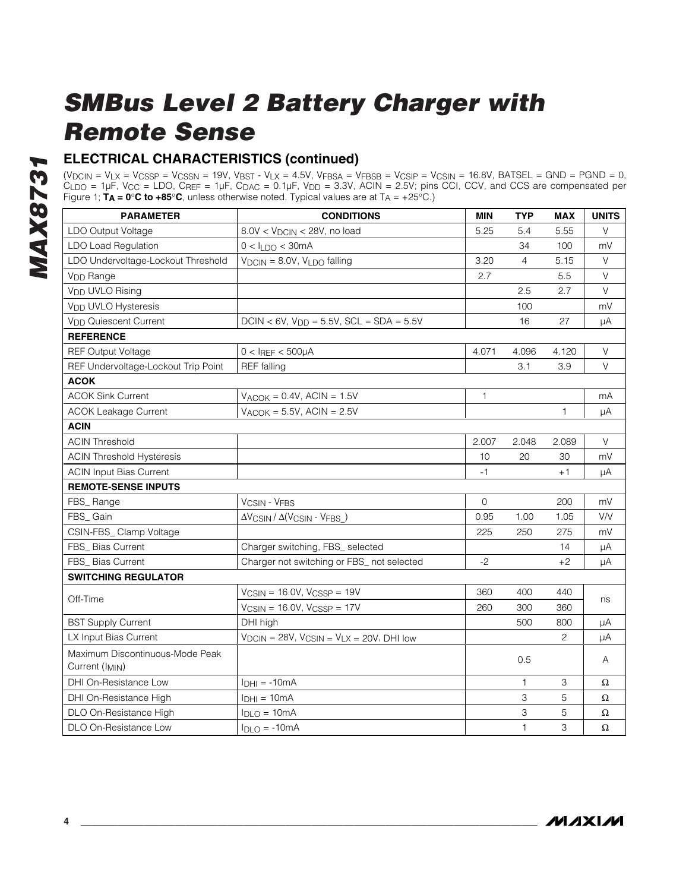### **ELECTRICAL CHARACTERISTICS (continued)**

(VDCIN = VLX = VCSSP = VCSSN = 19V, VBST - VLX = 4.5V, VFBSA = VFBSB = VCSIP = VCSIN = 16.8V, BATSEL = GND = PGND = 0,  $C_{\text{LDO}}$  = 1µF, V<sub>CC</sub> = LDO, C<sub>REF</sub> = 1µF, C<sub>DAC</sub> = 0.1µF, V<sub>DD</sub> = 3.3V, ACIN = 2.5V; pins CCI, CCV, and CCS are compensated per Figure 1; **TA = 0**°**C to +85**°**C**, unless otherwise noted. Typical values are at TA = +25°C.)

| <b>PARAMETER</b>                                  | <b>CONDITIONS</b>                                      | <b>MIN</b>   | <b>TYP</b>   | <b>MAX</b>   | <b>UNITS</b> |
|---------------------------------------------------|--------------------------------------------------------|--------------|--------------|--------------|--------------|
| LDO Output Voltage                                | $8.0V < VDCIN < 28V$ , no load                         | 5.25         | 5.4          | 5.55         | $\vee$       |
| LDO Load Regulation                               | $0 < I_{LDO} < 30mA$                                   |              | 34           | 100          | mV           |
| LDO Undervoltage-Lockout Threshold                | $V_{DCIN} = 8.0V$ , $V_{LDO}$ falling                  | 3.20         | 4            | 5.15         | V            |
| V <sub>DD</sub> Range                             |                                                        | 2.7          |              | 5.5          | V            |
| V <sub>DD</sub> UVLO Rising                       |                                                        |              | 2.5          | 2.7          | $\vee$       |
| V <sub>DD</sub> UVLO Hysteresis                   |                                                        |              | 100          |              | mV           |
| <b>V<sub>DD</sub></b> Quiescent Current           | $DCIN < 6V$ , $V_{DD} = 5.5V$ , $SCL = SDA = 5.5V$     |              | 16           | 27           | μA           |
| <b>REFERENCE</b>                                  |                                                        |              |              |              |              |
| <b>REF Output Voltage</b>                         | $0 < I$ REF < 500µA                                    | 4.071        | 4.096        | 4.120        | V            |
| REF Undervoltage-Lockout Trip Point               | <b>REF</b> falling                                     |              | 3.1          | 3.9          | $\vee$       |
| <b>ACOK</b>                                       |                                                        |              |              |              |              |
| <b>ACOK Sink Current</b>                          | $V_{ACOK} = 0.4V$ , ACIN = 1.5V                        | $\mathbf{1}$ |              |              | mA           |
| <b>ACOK Leakage Current</b>                       | $V_{ACOK} = 5.5V$ , ACIN = 2.5V                        |              |              | $\mathbf{1}$ | μA           |
| <b>ACIN</b>                                       |                                                        |              |              |              |              |
| <b>ACIN Threshold</b>                             |                                                        | 2.007        | 2.048        | 2.089        | $\vee$       |
| <b>ACIN Threshold Hysteresis</b>                  |                                                        | 10           | 20           | 30           | mV           |
| <b>ACIN Input Bias Current</b>                    |                                                        | $-1$         |              | $+1$         | μA           |
| <b>REMOTE-SENSE INPUTS</b>                        |                                                        |              |              |              |              |
| FBS_Range                                         | <b>VCSIN - VFBS</b>                                    | $\mathbf 0$  |              | 200          | mV           |
| FBS_Gain                                          | $\Delta V$ CSIN / $\Delta (V$ CSIN - VFBS )            | 0.95         | 1.00         | 1.05         | V/V          |
| CSIN-FBS_ Clamp Voltage                           |                                                        | 225          | 250          | 275          | mV           |
| FBS_ Bias Current                                 | Charger switching, FBS_ selected                       |              |              | 14           | μA           |
| FBS_ Bias Current                                 | Charger not switching or FBS_ not selected             | $-2$         |              | $+2$         | μA           |
| <b>SWITCHING REGULATOR</b>                        |                                                        |              |              |              |              |
| Off-Time                                          | $V_{CSIN}$ = 16.0V, $V_{CSSP}$ = 19V                   | 360          | 400          | 440          | ns           |
|                                                   | $V_{CSIN} = 16.0V$ , $V_{CSSP} = 17V$                  | 260          | 300          | 360          |              |
| <b>BST Supply Current</b>                         | DHI high                                               |              | 500          | 800          | μA           |
| LX Input Bias Current                             | $V_{DCIN} = 28V$ , $V_{CSIN} = V_{LX} = 20V$ , DHI low |              |              | 2            | μA           |
| Maximum Discontinuous-Mode Peak<br>Current (IMIN) |                                                        |              | 0.5          |              | A            |
| DHI On-Resistance Low                             | $I_{DHI} = -10mA$                                      |              | 1            | 3            | Ω            |
| DHI On-Resistance High                            | $I_{DHI} = 10mA$                                       |              | 3            | 5            | Ω            |
| DLO On-Resistance High                            | $I_{DLO} = 10mA$                                       |              | 3            | 5            | Ω            |
| DLO On-Resistance Low                             | $I_{DLO} = -10mA$                                      |              | $\mathbf{1}$ | 3            | Ω            |

**MAXIM**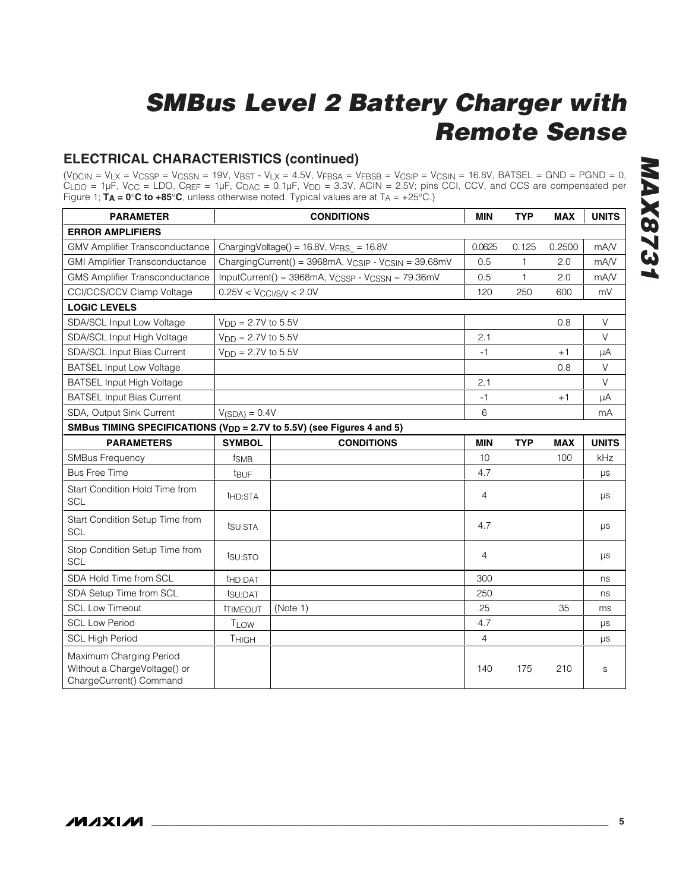### **ELECTRICAL CHARACTERISTICS (continued)**

(VDCIN = VLX = VCSSP = VCSSN = 19V, VBST - VLX = 4.5V, VFBSA = VFBSB = VCSIP = VCSIN = 16.8V, BATSEL = GND = PGND = 0,  $C_{\text{LDO}}$  = 1µF, V<sub>CC</sub> = LDO, C<sub>REF</sub> = 1µF, C<sub>DAC</sub> = 0.1µF, V<sub>DD</sub> = 3.3V, ACIN = 2.5V; pins CCI, CCV, and CCS are compensated per Figure 1; **TA = 0**°**C to +85**°**C**, unless otherwise noted. Typical values are at TA = +25°C.)

| <b>PARAMETER</b>                                                                   |                              | <b>CONDITIONS</b>                                                           | <b>MIN</b>     | <b>TYP</b>   | <b>MAX</b> | <b>UNITS</b> |
|------------------------------------------------------------------------------------|------------------------------|-----------------------------------------------------------------------------|----------------|--------------|------------|--------------|
| <b>ERROR AMPLIFIERS</b>                                                            |                              |                                                                             |                |              |            |              |
| <b>GMV Amplifier Transconductance</b>                                              |                              | Charging Voltage() = $16.8V$ , VFBS = $16.8V$                               | 0.0625         | 0.125        | 0.2500     | mA/V         |
| <b>GMI Amplifier Transconductance</b>                                              |                              | ChargingCurrent() = 3968mA, V <sub>CSIP</sub> - V <sub>CSIN</sub> = 39.68mV | 0.5            | $\mathbf{1}$ | 2.0        | mA/V         |
| <b>GMS Amplifier Transconductance</b>                                              |                              | InputCurrent() = 3968mA, V <sub>CSSP</sub> - V <sub>CSSN</sub> = 79.36mV    | 0.5            | $\mathbf{1}$ | 2.0        | mA/V         |
| CCI/CCS/CCV Clamp Voltage                                                          | $0.25V < V_{CCI/S/V} < 2.0V$ |                                                                             | 120            | 250          | 600        | mV           |
| <b>LOGIC LEVELS</b>                                                                |                              |                                                                             |                |              |            |              |
| SDA/SCL Input Low Voltage                                                          | $V_{DD} = 2.7V$ to 5.5V      |                                                                             |                |              | 0.8        | V            |
| SDA/SCL Input High Voltage                                                         | $V_{DD} = 2.7V$ to 5.5V      |                                                                             | 2.1            |              |            | $\vee$       |
| SDA/SCL Input Bias Current                                                         | $V_{DD} = 2.7V$ to 5.5V      |                                                                             | $-1$           |              | $+1$       | μA           |
| <b>BATSEL Input Low Voltage</b>                                                    |                              |                                                                             |                |              | 0.8        | V            |
| <b>BATSEL Input High Voltage</b>                                                   |                              |                                                                             | 2.1            |              |            | V            |
| <b>BATSEL Input Bias Current</b>                                                   |                              |                                                                             | $-1$           |              | $+1$       | μA           |
| SDA, Output Sink Current                                                           | $V(SDA) = 0.4V$              |                                                                             | 6              |              |            | mA           |
| SMBus TIMING SPECIFICATIONS (V <sub>DD</sub> = 2.7V to 5.5V) (see Figures 4 and 5) |                              |                                                                             |                |              |            |              |
| <b>PARAMETERS</b>                                                                  | <b>SYMBOL</b>                | <b>CONDITIONS</b>                                                           | <b>MIN</b>     | <b>TYP</b>   | <b>MAX</b> | <b>UNITS</b> |
| <b>SMBus Frequency</b>                                                             | f <sub>SMB</sub>             |                                                                             | 10             |              | 100        | kHz          |
| <b>Bus Free Time</b>                                                               | t <sub>BUF</sub>             |                                                                             | 4.7            |              |            | $\mu s$      |
| Start Condition Hold Time from<br><b>SCL</b>                                       | t <sub>HD:STA</sub>          |                                                                             | $\overline{4}$ |              |            | $\mu s$      |
| Start Condition Setup Time from<br><b>SCL</b>                                      | tsu:STA                      |                                                                             | 4.7            |              |            | μs           |
| Stop Condition Setup Time from<br><b>SCL</b>                                       | tsu:STO                      |                                                                             | 4              |              |            | μs           |
| SDA Hold Time from SCL                                                             | t <sub>HD:DAT</sub>          |                                                                             | 300            |              |            | ns           |
| SDA Setup Time from SCL                                                            | tsu:DAT                      |                                                                             | 250            |              |            | ns           |
| <b>SCL Low Timeout</b>                                                             | <b><i>ITIMEOUT</i></b>       | (Note 1)                                                                    | 25             |              | 35         | ms           |
| <b>SCL Low Period</b>                                                              | <b>TLOW</b>                  |                                                                             | 4.7            |              |            | $\mu s$      |
| <b>SCL High Period</b>                                                             | THIGH                        |                                                                             | $\overline{4}$ |              |            | $\mu s$      |
| Maximum Charging Period<br>Without a ChargeVoltage() or<br>ChargeCurrent() Command |                              |                                                                             | 140            | 175          | 210        | S            |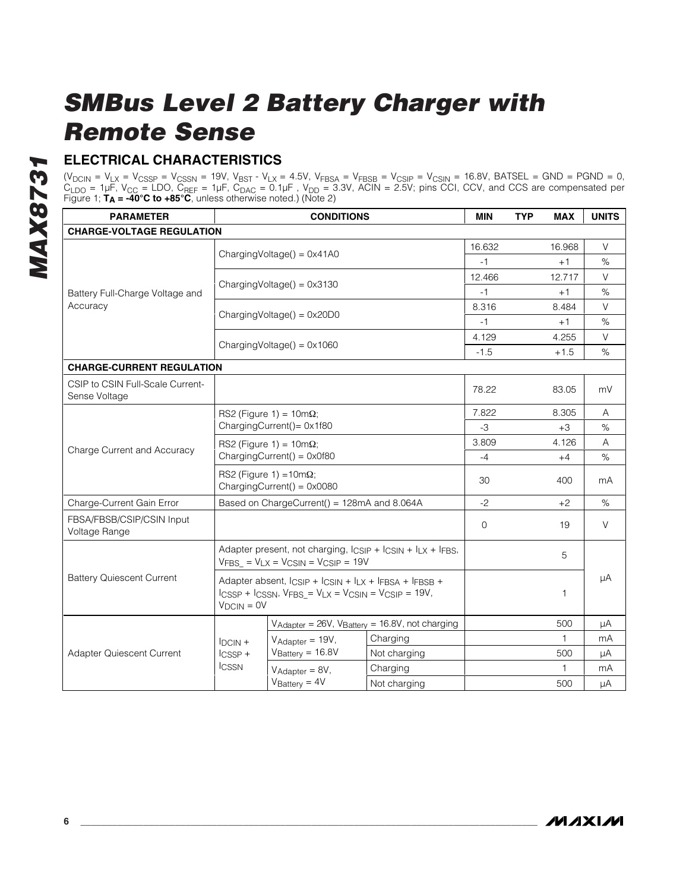### **ELECTRICAL CHARACTERISTICS**

 $(V_{\rm DCIN} = V_{\rm LX} = V_{\rm CSSP} = V_{\rm CSSN} = 19V$ ,  $V_{\rm BST}$  -  $V_{\rm LX}$  = 4.5V,  $V_{\rm FBSA}$  =  $V_{\rm FBSB}$  =  $V_{\rm CSIP}$  =  $V_{\rm CSIN}$  = 16.8V, BATSEL = GND = PGND = 0,  $C_{\sf LDO}$  = 1µF, V<sub>CC</sub> = LDO, C<sub>REF</sub> = 1µF, C<sub>DAC</sub> = 0.1µF , V<sub>DD</sub> = 3.3V, ACIN = 2.5V; pins CCI, CCV, and CCS are compensated per Figure 1; **TA = -40°C to +85°C**, unless otherwise noted.) (Note 2)

| <b>PARAMETER</b>                                  |                                                                                                                                                         | <b>CONDITIONS</b>                           |                                                                                 | <b>MIN</b> | <b>TYP</b> | <b>MAX</b>   | <b>UNITS</b> |
|---------------------------------------------------|---------------------------------------------------------------------------------------------------------------------------------------------------------|---------------------------------------------|---------------------------------------------------------------------------------|------------|------------|--------------|--------------|
| <b>CHARGE-VOLTAGE REGULATION</b>                  |                                                                                                                                                         |                                             |                                                                                 |            |            |              |              |
|                                                   |                                                                                                                                                         |                                             |                                                                                 | 16.632     |            | 16.968       | V            |
|                                                   |                                                                                                                                                         | $ChargingVoltage() = 0x41A0$                |                                                                                 | $-1$       |            | $+1$         | $\%$         |
|                                                   |                                                                                                                                                         |                                             |                                                                                 | 12.466     |            | 12.717       | $\vee$       |
| Battery Full-Charge Voltage and                   |                                                                                                                                                         | Charging Voltage $() = 0 \times 3130$       |                                                                                 | -1         |            | $+1$         | $\%$         |
| Accuracy                                          |                                                                                                                                                         |                                             |                                                                                 | 8.316      |            | 8.484        | $\vee$       |
|                                                   |                                                                                                                                                         | $ChargingVoltage() = 0x20D0$                |                                                                                 | $-1$       |            | $+1$         | $\%$         |
|                                                   |                                                                                                                                                         |                                             |                                                                                 | 4.129      |            | 4.255        | V            |
|                                                   |                                                                                                                                                         | ChargingVoltage() = $0 \times 1060$         |                                                                                 | $-1.5$     |            | $+1.5$       | $\%$         |
| <b>CHARGE-CURRENT REGULATION</b>                  |                                                                                                                                                         |                                             |                                                                                 |            |            |              |              |
| CSIP to CSIN Full-Scale Current-<br>Sense Voltage |                                                                                                                                                         |                                             |                                                                                 | 78.22      |            | 83.05        | mV           |
|                                                   | RS2 (Figure 1) = $10m\Omega$ ;<br>ChargingCurrent()= 0x1f80                                                                                             |                                             |                                                                                 | 7.822      |            | 8.305        | A            |
|                                                   |                                                                                                                                                         |                                             |                                                                                 | -3         |            | $+3$         | $\%$         |
|                                                   | RS2 (Figure 1) = $10m\Omega$ ;                                                                                                                          |                                             |                                                                                 | 3.809      |            | 4.126        | A            |
| Charge Current and Accuracy                       | $ChargingCurrent() = 0x0f80$                                                                                                                            |                                             |                                                                                 | $-4$       |            | $+4$         | $\%$         |
|                                                   | RS2 (Figure 1) = $10m\Omega$ ;<br>ChargingCurrent() = $0 \times 0080$                                                                                   |                                             |                                                                                 | 30         |            | 400          | mA           |
| Charge-Current Gain Error                         |                                                                                                                                                         | Based on ChargeCurrent() = 128mA and 8.064A |                                                                                 | $-2$       |            | $+2$         | $\%$         |
| FBSA/FBSB/CSIP/CSIN Input<br>Voltage Range        |                                                                                                                                                         |                                             |                                                                                 | $\Omega$   |            | 19           | $\vee$       |
|                                                   |                                                                                                                                                         | $VFBS = VLX = VCSIN = VCSIP = 19V$          | Adapter present, not charging, $l_{CSIP}$ + $l_{CSIN}$ + $l_{LX}$ + $l_{FBS}$ , |            |            | 5            |              |
| <b>Battery Quiescent Current</b>                  | Adapter absent, ICSIP + ICSIN + ILX + IFBSA + IFBSB +<br>$I_{CSSP}$ + $I_{CSSN}$ , $V_{FBS_} = V_{LX} = V_{CSIN} = V_{CSIP} = 19V$ ,<br>$V_{DCIN} = 0V$ |                                             |                                                                                 |            |            | $\mathbf{1}$ | μA           |
|                                                   |                                                                                                                                                         |                                             | V <sub>Adapter</sub> = 26V, V <sub>Battery</sub> = 16.8V, not charging          |            |            | 500          | μA           |
|                                                   | $IDCIN +$                                                                                                                                               | $V_{Adapter} = 19V,$                        | Charging                                                                        |            |            | $\mathbf{1}$ | mA           |
| <b>Adapter Quiescent Current</b>                  | $l$ CSSP +                                                                                                                                              | $V_{Battery} = 16.8V$                       | Not charging                                                                    |            |            | 500          | μA           |
|                                                   | <b>ICSSN</b>                                                                                                                                            | $V_{Adapter} = 8V$ ,                        | Charging                                                                        |            |            | $\mathbf{1}$ | mA           |
|                                                   |                                                                                                                                                         | $V_{\text{Battery}} = 4V$                   | Not charging                                                                    |            |            | 500          | μA           |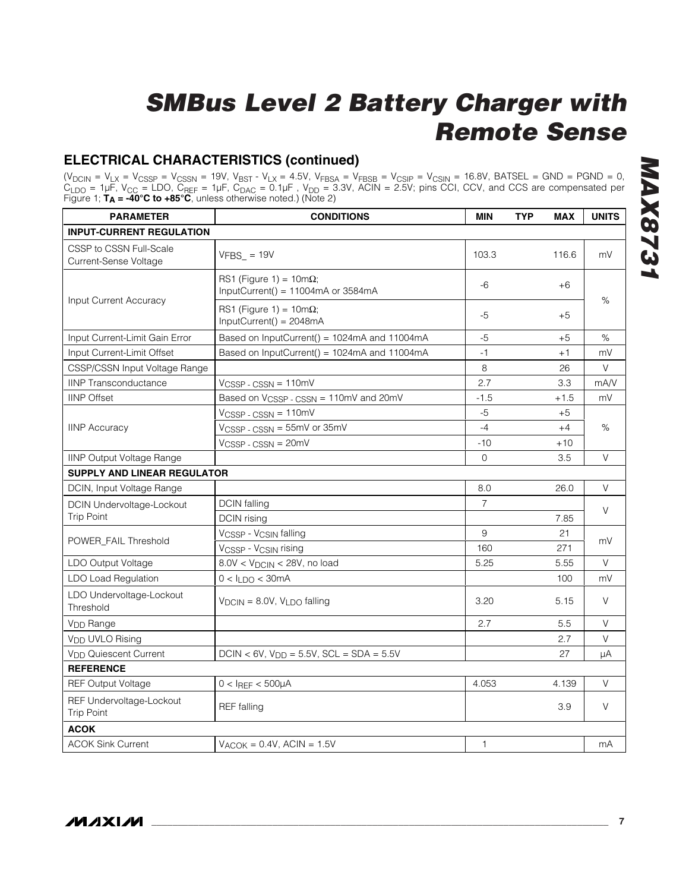### **ELECTRICAL CHARACTERISTICS (continued)**

 $(V_{\rm DCIN} = V_{\rm LX} = V_{\rm CSSP} = V_{\rm CSSN} = 19V$ ,  $V_{\rm BST}$  -  $V_{\rm LX}$  = 4.5V,  $V_{\rm FBSA}$  =  $V_{\rm FBSB}$  =  $V_{\rm CSIP}$  =  $V_{\rm CSIN}$  = 16.8V, BATSEL = GND = PGND = 0,  $C_{\sf LDO}$  = 1µF, V<sub>CC</sub> = LDO, C<sub>REF</sub> = 1µF, C<sub>DAC</sub> = 0.1µF , V<sub>DD</sub> = 3.3V, ACIN = 2.5V; pins CCI, CCV, and CCS are compensated per Figure 1; **TA = -40°C to +85°C**, unless otherwise noted.) (Note 2)

| <b>PARAMETER</b>                                 | <b>CONDITIONS</b>                                                              | <b>MIN</b>     | <b>TYP</b> | <b>MAX</b> | <b>UNITS</b> |  |
|--------------------------------------------------|--------------------------------------------------------------------------------|----------------|------------|------------|--------------|--|
| <b>INPUT-CURRENT REGULATION</b>                  |                                                                                |                |            |            |              |  |
| CSSP to CSSN Full-Scale<br>Current-Sense Voltage | $VFBS_ = 19V$                                                                  | 103.3          |            | 116.6      | mV           |  |
| Input Current Accuracy                           | RS1 (Figure 1) = $10m\Omega$ ;<br>InputCurrent() = $11004 \text{mA}$ or 3584mA | -6             |            | +6         | %            |  |
|                                                  | RS1 (Figure 1) = $10m\Omega$ ;<br>InputCurrent() = 2048mA                      | $-5$           |            | $+5$       |              |  |
| Input Current-Limit Gain Error                   | Based on InputCurrent() = 1024mA and 11004mA                                   | $-5$           |            | $+5$       | $\%$         |  |
| Input Current-Limit Offset                       | Based on InputCurrent() = 1024mA and 11004mA                                   | $-1$           |            | $+1$       | mV           |  |
| CSSP/CSSN Input Voltage Range                    |                                                                                | 8              |            | 26         | V            |  |
| <b>IINP Transconductance</b>                     | $V_{CSSP} - CSSN = 110mV$                                                      | 2.7            |            | 3.3        | mA/V         |  |
| <b>IINP</b> Offset                               | Based on V <sub>CSSP</sub> - CSSN = 110mV and 20mV                             | $-1.5$         |            | $+1.5$     | mV           |  |
|                                                  | VCSSP-CSSN = 110mV                                                             | $-5$           |            | $+5$       |              |  |
| <b>IINP Accuracy</b>                             | VCSSP - CSSN = 55mV or 35mV                                                    | $-4$           |            | $+4$       | $\%$         |  |
|                                                  | $VCSSP - CSSN = 20mV$                                                          | $-10$          |            | $+10$      |              |  |
| <b>IINP Output Voltage Range</b>                 |                                                                                | $\mathbf{O}$   |            | 3.5        | V            |  |
| <b>SUPPLY AND LINEAR REGULATOR</b>               |                                                                                |                |            |            |              |  |
| DCIN, Input Voltage Range                        |                                                                                | 8.0            |            | 26.0       | V            |  |
| <b>DCIN Undervoltage-Lockout</b>                 | <b>DCIN</b> falling                                                            | $\overline{7}$ |            |            | V            |  |
| <b>Trip Point</b>                                | DCIN rising                                                                    |                |            | 7.85       |              |  |
|                                                  | VCSSP - VCSIN falling                                                          | 9              |            | 21         |              |  |
| POWER_FAIL Threshold                             | VCSSP - VCSIN rising                                                           | 160            |            | 271        | mV           |  |
| LDO Output Voltage                               | $8.0V < VDCIN < 28V$ , no load                                                 | 5.25           |            | 5.55       | V            |  |
| LDO Load Regulation                              | $0 < I_{LDO} < 30mA$                                                           |                |            | 100        | mV           |  |
| LDO Undervoltage-Lockout<br>Threshold            | $V_{DCIN} = 8.0V$ , $V_{LDO}$ falling                                          | 3.20           |            | 5.15       | V            |  |
| V <sub>DD</sub> Range                            |                                                                                | 2.7            |            | 5.5        | V            |  |
| V <sub>DD</sub> UVLO Rising                      |                                                                                |                |            | 2.7        | V            |  |
| V <sub>DD</sub> Quiescent Current                | $DCIN < 6V$ , $V_{DD} = 5.5V$ , $SCL = SDA = 5.5V$                             |                |            | 27         | μA           |  |
| <b>REFERENCE</b>                                 |                                                                                |                |            |            |              |  |
| <b>REF Output Voltage</b>                        | $0 < I$ REF < 500µA                                                            | 4.053          |            | 4.139      | V            |  |
| REF Undervoltage-Lockout<br><b>Trip Point</b>    | <b>REF</b> falling                                                             |                |            | 3.9        | V            |  |
| <b>ACOK</b>                                      |                                                                                |                |            |            |              |  |
| <b>ACOK Sink Current</b>                         | $VACOK = 0.4V$ , $ACIN = 1.5V$                                                 | 1              |            |            | mA           |  |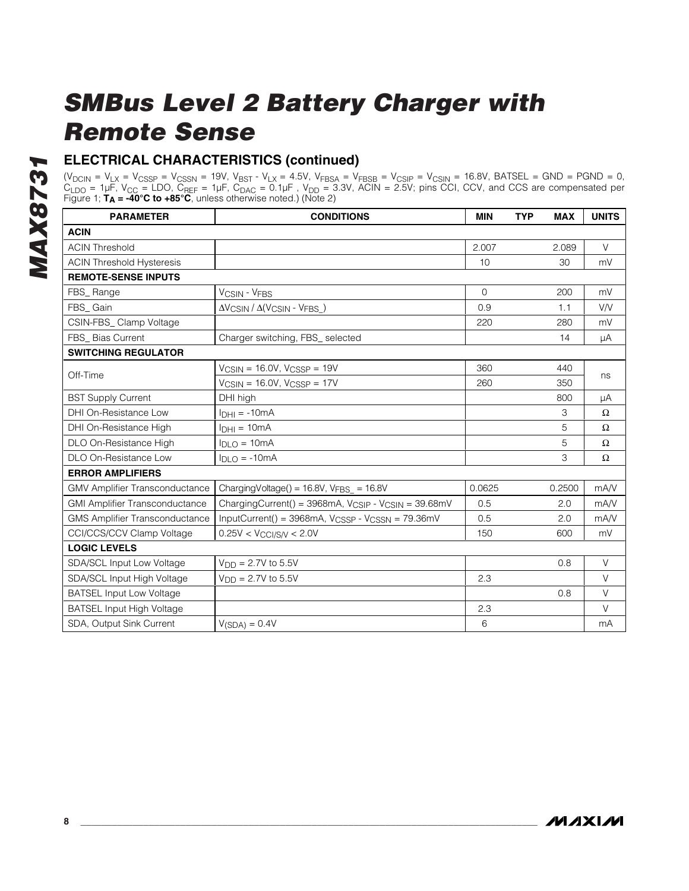### **ELECTRICAL CHARACTERISTICS (continued)**

 $(V_{\rm DCIN} = V_{\rm LX} = V_{\rm CSSP} = V_{\rm CSSN} = 19V$ ,  $V_{\rm BST}$  -  $V_{\rm LX}$  = 4.5V,  $V_{\rm FBSA}$  =  $V_{\rm FBSB}$  =  $V_{\rm CSIP}$  =  $V_{\rm CSIN}$  = 16.8V, BATSEL = GND = PGND = 0,  $C_{\sf LDO}$  = 1µF, V<sub>CC</sub> = LDO, C<sub>REF</sub> = 1µF, C<sub>DAC</sub> = 0.1µF , V<sub>DD</sub> = 3.3V, ACIN = 2.5V; pins CCI, CCV, and CCS are compensated per Figure 1; **TA = -40°C to +85°C**, unless otherwise noted.) (Note 2)

| <b>PARAMETER</b>                      | <b>CONDITIONS</b>                                                           | <b>MIN</b> | <b>TYP</b> | <b>MAX</b> | <b>UNITS</b> |  |
|---------------------------------------|-----------------------------------------------------------------------------|------------|------------|------------|--------------|--|
| <b>ACIN</b>                           |                                                                             |            |            |            |              |  |
| <b>ACIN Threshold</b>                 |                                                                             | 2.007      |            | 2.089      | $\vee$       |  |
| <b>ACIN Threshold Hysteresis</b>      |                                                                             | 10         |            | 30         | mV           |  |
| <b>REMOTE-SENSE INPUTS</b>            |                                                                             |            |            |            |              |  |
| FBS_Range                             | <b>VCSIN - VFBS</b>                                                         | $\Omega$   |            | 200        | mV           |  |
| FBS_Gain                              | $\Delta V$ CSIN / $\Delta (V$ CSIN - VFBS_)                                 | 0.9        |            | 1.1        | V/V          |  |
| CSIN-FBS_Clamp Voltage                |                                                                             | 220        |            | 280        | mV           |  |
| FBS Bias Current                      | Charger switching, FBS_ selected                                            |            |            | 14         | μA           |  |
| <b>SWITCHING REGULATOR</b>            |                                                                             |            |            |            |              |  |
| Off-Time                              | $V_{CSIN} = 16.0V$ , $V_{CSSP} = 19V$                                       | 360        |            | 440        | ns           |  |
|                                       | $V_{CSIN}$ = 16.0V, $V_{CSSP}$ = 17V                                        | 260        |            | 350        |              |  |
| <b>BST Supply Current</b>             | DHI high                                                                    |            |            | 800        | μA           |  |
| DHI On-Resistance Low                 | $InH1 = -10mA$                                                              |            |            | 3          | $\Omega$     |  |
| DHI On-Resistance High                | $IDHI = 10mA$                                                               |            |            | 5          | $\Omega$     |  |
| DLO On-Resistance High                | $I_{\text{DLO}} = 10 \text{mA}$                                             |            |            | 5          | $\Omega$     |  |
| DLO On-Resistance Low                 | $I_{DLO} = -10mA$                                                           |            |            | 3          | $\Omega$     |  |
| <b>ERROR AMPLIFIERS</b>               |                                                                             |            |            |            |              |  |
| <b>GMV Amplifier Transconductance</b> | Charging Voltage() = $16.8V$ , VFBS = $16.8V$                               | 0.0625     |            | 0.2500     | mA/V         |  |
| <b>GMI Amplifier Transconductance</b> | ChargingCurrent() = 3968mA, V <sub>CSIP</sub> - V <sub>CSIN</sub> = 39.68mV | 0.5        |            | 2.0        | mA/V         |  |
| <b>GMS Amplifier Transconductance</b> | InputCurrent() = 3968mA, V <sub>CSSP</sub> - V <sub>CSSN</sub> = 79.36mV    | 0.5        |            | 2.0        | mA/V         |  |
| CCI/CCS/CCV Clamp Voltage             | $0.25V < V_{CCI/S/V} < 2.0V$                                                | 150        |            | 600        | mV           |  |
| <b>LOGIC LEVELS</b>                   |                                                                             |            |            |            |              |  |
| SDA/SCL Input Low Voltage             | $V_{DD} = 2.7V$ to 5.5V                                                     |            |            | 0.8        | $\vee$       |  |
| SDA/SCL Input High Voltage            | $V_{DD} = 2.7V$ to 5.5V                                                     | 2.3        |            |            | $\vee$       |  |
| <b>BATSEL Input Low Voltage</b>       |                                                                             |            |            | 0.8        | $\vee$       |  |
| <b>BATSEL Input High Voltage</b>      |                                                                             | 2.3        |            |            | $\vee$       |  |
| SDA, Output Sink Current              | $V(SDA) = 0.4V$                                                             | 6          |            |            | mA           |  |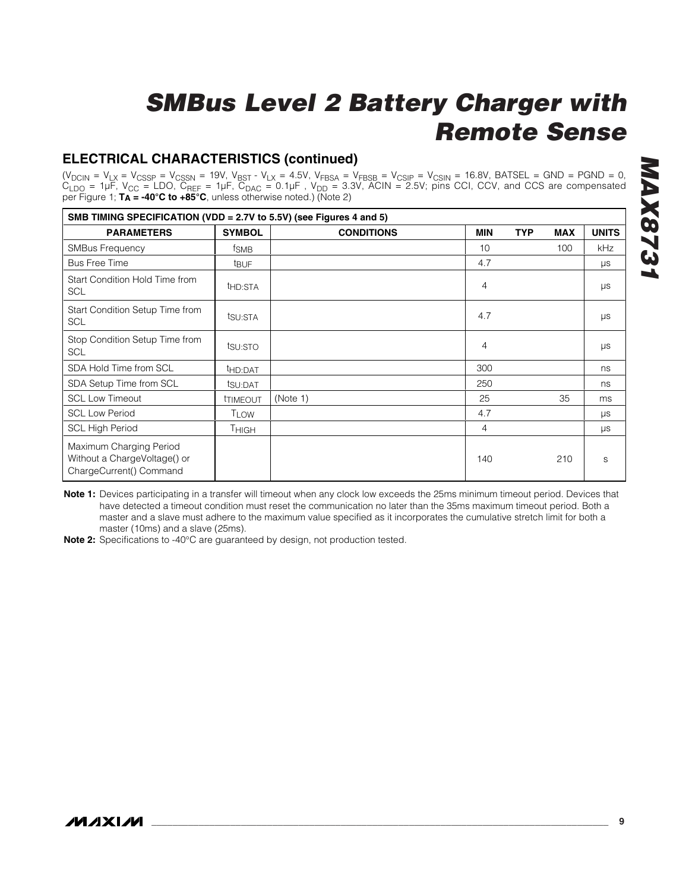### **ELECTRICAL CHARACTERISTICS (continued)**

(V<sub>DCIN</sub> = V<sub>LX</sub> = V<sub>CSSP</sub> = V<sub>CSSN</sub> = 19V, V<sub>BST</sub> - V<sub>LX</sub> = 4.5V, V<sub>FBSA</sub> = V<sub>FBSB</sub> = V<sub>CSIP</sub> = V<sub>CSIN</sub> = 16.8V, BATSEL = GND = PGND = 0,  $\rm C_{LDO}$  = 1µF, V<sub>CC</sub> = LDO, C<sub>REF</sub> = 1µF, C<sub>DAC</sub> = 0.1µF , V<sub>DD</sub> = 3.3V, ACIN = 2.5V; pins CCI, CCV, and CCS are compensated per Figure 1; **TA = -40°C to +85°C**, unless otherwise noted.) (Note 2)

|                                                                                    | SMB TIMING SPECIFICATION (VDD = 2.7V to 5.5V) (see Figures 4 and 5) |                   |                |            |            |              |
|------------------------------------------------------------------------------------|---------------------------------------------------------------------|-------------------|----------------|------------|------------|--------------|
| <b>PARAMETERS</b>                                                                  | <b>SYMBOL</b>                                                       | <b>CONDITIONS</b> | <b>MIN</b>     | <b>TYP</b> | <b>MAX</b> | <b>UNITS</b> |
| <b>SMBus Frequency</b>                                                             | fsmB                                                                |                   | 10             |            | 100        | <b>kHz</b>   |
| <b>Bus Free Time</b>                                                               | t <sub>BUF</sub>                                                    |                   | 4.7            |            |            | μs           |
| Start Condition Hold Time from<br><b>SCL</b>                                       | t <sub>HD:STA</sub>                                                 |                   | $\overline{4}$ |            |            | $\mu s$      |
| Start Condition Setup Time from<br><b>SCL</b>                                      | tsu:STA                                                             |                   | 4.7            |            |            | μs           |
| Stop Condition Setup Time from<br><b>SCL</b>                                       | tsu:sto                                                             |                   | 4              |            |            | $\mu s$      |
| SDA Hold Time from SCL                                                             | t <sub>HD:DAT</sub>                                                 |                   | 300            |            |            | ns           |
| SDA Setup Time from SCL                                                            | tsu:DAT                                                             |                   | 250            |            |            | ns           |
| <b>SCL Low Timeout</b>                                                             | <b>TIMEOUT</b>                                                      | (Note 1)          | 25             |            | 35         | ms           |
| <b>SCL Low Period</b>                                                              | <b>TLOW</b>                                                         |                   | 4.7            |            |            | $\mu s$      |
| <b>SCL High Period</b>                                                             | Тнісн                                                               |                   | 4              |            |            | μs           |
| Maximum Charging Period<br>Without a ChargeVoltage() or<br>ChargeCurrent() Command |                                                                     |                   | 140            |            | 210        | S            |

**Note 1:** Devices participating in a transfer will timeout when any clock low exceeds the 25ms minimum timeout period. Devices that have detected a timeout condition must reset the communication no later than the 35ms maximum timeout period. Both a master and a slave must adhere to the maximum value specified as it incorporates the cumulative stretch limit for both a master (10ms) and a slave (25ms).

**Note 2:** Specifications to -40°C are guaranteed by design, not production tested.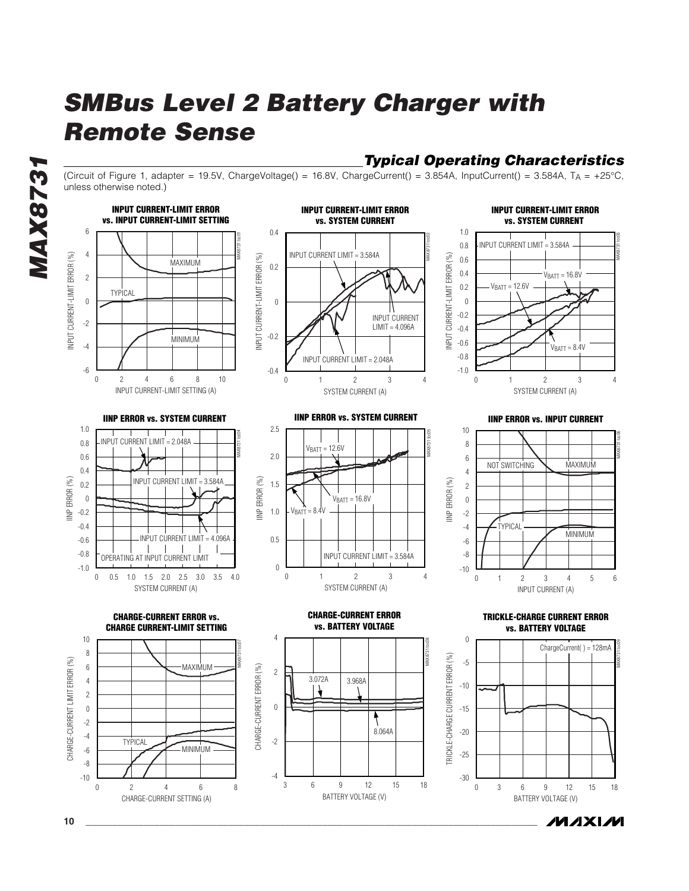(Circuit of Figure 1, adapter = 19.5V, ChargeVoltage() = 16.8V, ChargeCurrent() = 3.854A, InputCurrent() = 3.584A, T<sub>A</sub> = +25°C, unless otherwise noted.)

*Typical Operating Characteristics*



/VI/IXI/VI

**10 \_\_\_\_\_\_\_\_\_\_\_\_\_\_\_\_\_\_\_\_\_\_\_\_\_\_\_\_\_\_\_\_\_\_\_\_\_\_\_\_\_\_\_\_\_\_\_\_\_\_\_\_\_\_\_\_\_\_\_\_\_\_\_\_\_\_\_\_\_\_\_\_\_\_\_\_\_\_\_\_\_\_\_\_\_\_**

*MAX8731*

**MAX8731**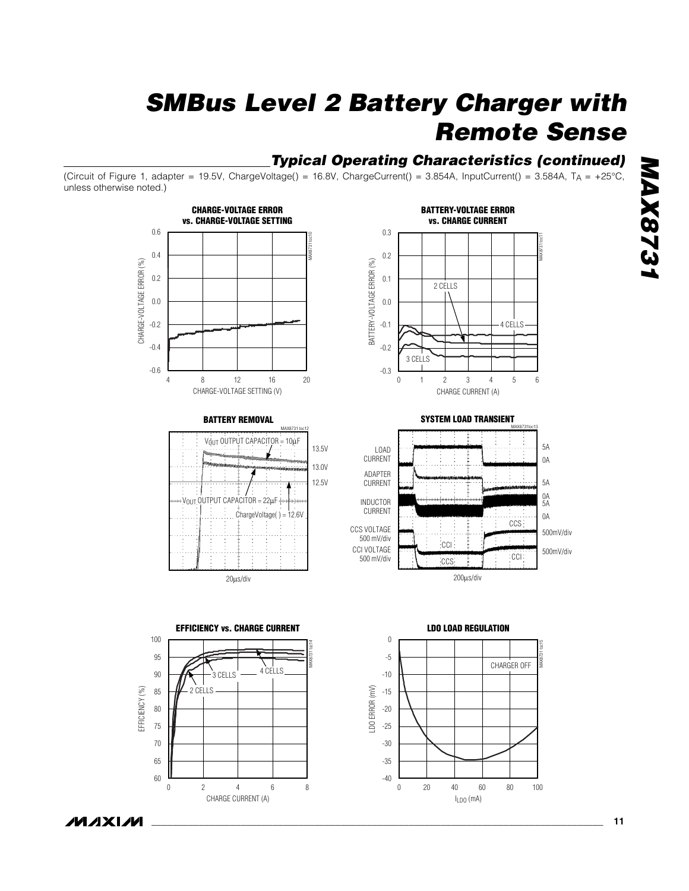### *Typical Operating Characteristics (continued)*

ILDO (mA)

(Circuit of Figure 1, adapter = 19.5V, ChargeVoltage() = 16.8V, ChargeCurrent() = 3.854A, InputCurrent() = 3.584A, TA = +25°C, unless otherwise noted.)



MAX873

*MAX8731*

CHARGE CURRENT (A)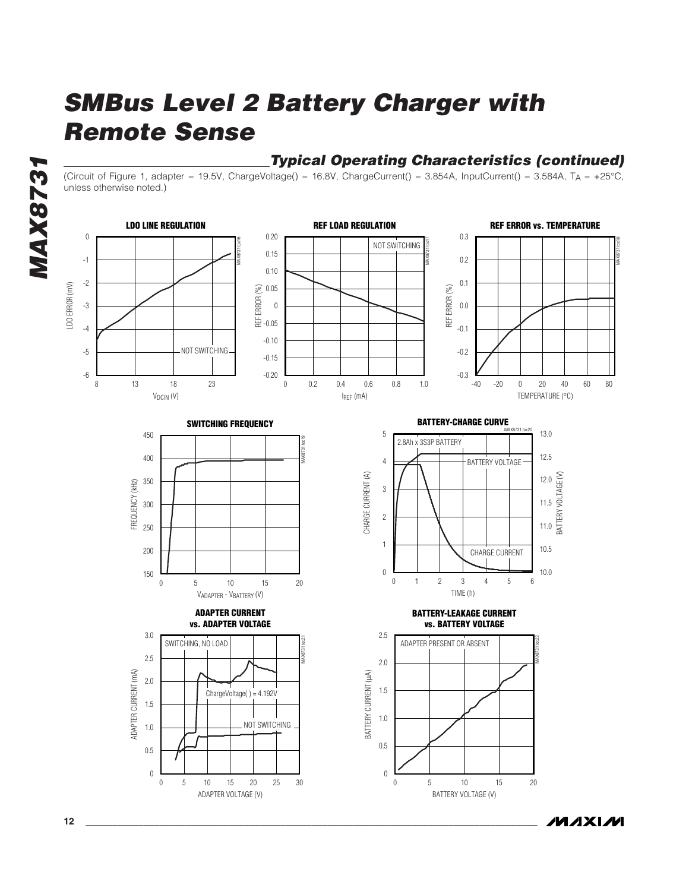### *Typical Operating Characteristics (continued)*

(Circuit of Figure 1, adapter = 19.5V, ChargeVoltage() = 16.8V, ChargeCurrent() = 3.854A, InputCurrent() = 3.584A,  $T_A = +25^{\circ}C$ , unless otherwise noted.)



**MAXIM** 

*MAX8731*

**MAX8731**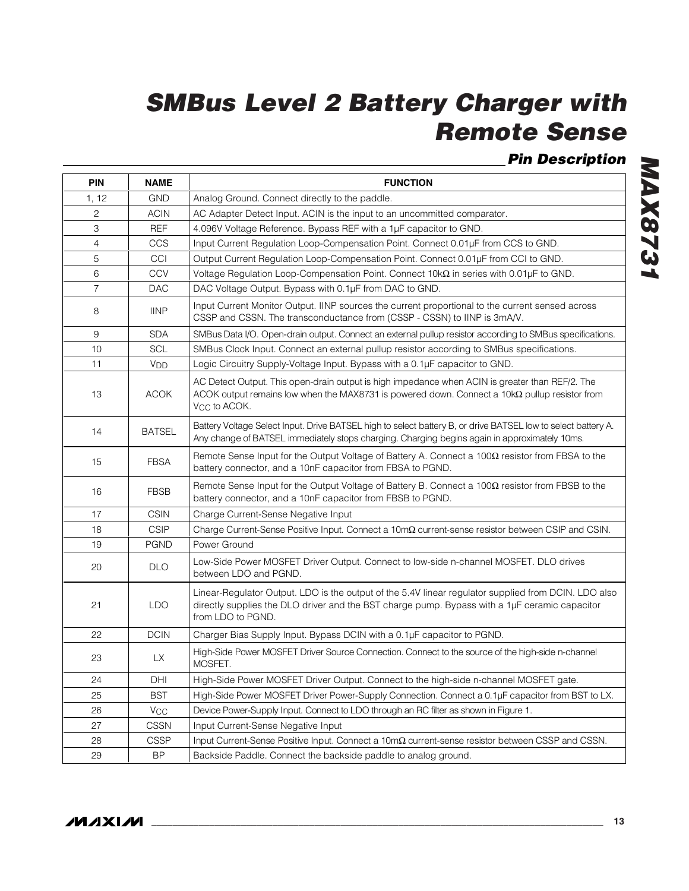*Pin Description*

| <b>PIN</b>     | <b>NAME</b>           | <b>FUNCTION</b>                                                                                                                                                                                                              |
|----------------|-----------------------|------------------------------------------------------------------------------------------------------------------------------------------------------------------------------------------------------------------------------|
| 1, 12          | <b>GND</b>            | Analog Ground. Connect directly to the paddle.                                                                                                                                                                               |
| 2              | <b>ACIN</b>           | AC Adapter Detect Input. ACIN is the input to an uncommitted comparator.                                                                                                                                                     |
| 3              | <b>REF</b>            | 4.096V Voltage Reference. Bypass REF with a 1µF capacitor to GND.                                                                                                                                                            |
| 4              | CCS                   | Input Current Regulation Loop-Compensation Point. Connect 0.01µF from CCS to GND.                                                                                                                                            |
| 5              | CCI                   | Output Current Regulation Loop-Compensation Point. Connect 0.01µF from CCI to GND.                                                                                                                                           |
| 6              | <b>CCV</b>            | Voltage Regulation Loop-Compensation Point. Connect 10k $\Omega$ in series with 0.01µF to GND.                                                                                                                               |
| $\overline{7}$ | <b>DAC</b>            | DAC Voltage Output. Bypass with 0.1µF from DAC to GND.                                                                                                                                                                       |
| 8              | <b>IINP</b>           | Input Current Monitor Output. IINP sources the current proportional to the current sensed across<br>CSSP and CSSN. The transconductance from (CSSP - CSSN) to IINP is 3mA/V.                                                 |
| 9              | <b>SDA</b>            | SMBus Data I/O. Open-drain output. Connect an external pullup resistor according to SMBus specifications.                                                                                                                    |
| 10             | <b>SCL</b>            | SMBus Clock Input. Connect an external pullup resistor according to SMBus specifications.                                                                                                                                    |
| 11             | <b>V<sub>DD</sub></b> | Logic Circuitry Supply-Voltage Input. Bypass with a 0.1µF capacitor to GND.                                                                                                                                                  |
| 13             | <b>ACOK</b>           | AC Detect Output. This open-drain output is high impedance when ACIN is greater than REF/2. The<br>ACOK output remains low when the MAX8731 is powered down. Connect a 10kQ pullup resistor from<br>V <sub>CC</sub> to ACOK. |
| 14             | <b>BATSEL</b>         | Battery Voltage Select Input. Drive BATSEL high to select battery B, or drive BATSEL low to select battery A.<br>Any change of BATSEL immediately stops charging. Charging begins again in approximately 10ms.               |
| 15             | <b>FBSA</b>           | Remote Sense Input for the Output Voltage of Battery A. Connect a $100\Omega$ resistor from FBSA to the<br>battery connector, and a 10nF capacitor from FBSA to PGND.                                                        |
| 16             | <b>FBSB</b>           | Remote Sense Input for the Output Voltage of Battery B. Connect a $100\Omega$ resistor from FBSB to the<br>battery connector, and a 10nF capacitor from FBSB to PGND.                                                        |
| 17             | <b>CSIN</b>           | Charge Current-Sense Negative Input                                                                                                                                                                                          |
| 18             | <b>CSIP</b>           | Charge Current-Sense Positive Input. Connect a 10mΩ current-sense resistor between CSIP and CSIN.                                                                                                                            |
| 19             | <b>PGND</b>           | Power Ground                                                                                                                                                                                                                 |
| 20             | <b>DLO</b>            | Low-Side Power MOSFET Driver Output. Connect to low-side n-channel MOSFET. DLO drives<br>between LDO and PGND.                                                                                                               |
| 21             | <b>LDO</b>            | Linear-Regulator Output. LDO is the output of the 5.4V linear regulator supplied from DCIN. LDO also<br>directly supplies the DLO driver and the BST charge pump. Bypass with a 1µF ceramic capacitor<br>from LDO to PGND.   |
| 22             | <b>DCIN</b>           | Charger Bias Supply Input. Bypass DCIN with a 0.1µF capacitor to PGND.                                                                                                                                                       |
| 23             | <b>LX</b>             | High-Side Power MOSFET Driver Source Connection. Connect to the source of the high-side n-channel<br>MOSFET.                                                                                                                 |
| 24             | DHI                   | High-Side Power MOSFET Driver Output. Connect to the high-side n-channel MOSFET gate.                                                                                                                                        |
| 25             | <b>BST</b>            | High-Side Power MOSFET Driver Power-Supply Connection. Connect a 0.1µF capacitor from BST to LX.                                                                                                                             |
| 26             | <b>V<sub>CC</sub></b> | Device Power-Supply Input. Connect to LDO through an RC filter as shown in Figure 1.                                                                                                                                         |
| 27             | <b>CSSN</b>           | Input Current-Sense Negative Input                                                                                                                                                                                           |
| 28             | <b>CSSP</b>           | Input Current-Sense Positive Input. Connect a 10mΩ current-sense resistor between CSSP and CSSN.                                                                                                                             |
| 29             | <b>BP</b>             | Backside Paddle. Connect the backside paddle to analog ground.                                                                                                                                                               |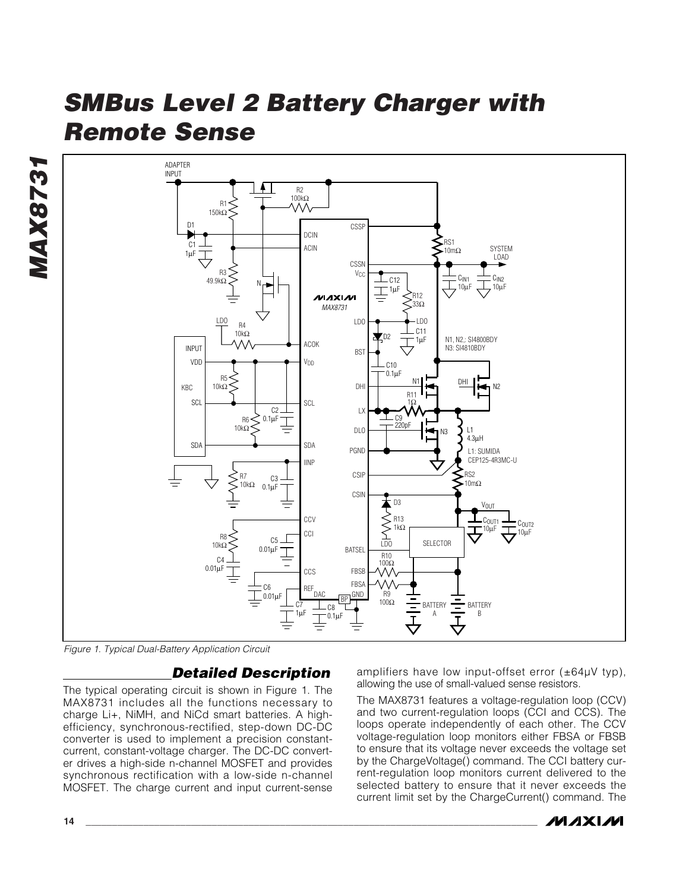**MAX8731** *MAX8731*



*Figure 1. Typical Dual-Battery Application Circuit*

### *Detailed Description*

The typical operating circuit is shown in Figure 1. The MAX8731 includes all the functions necessary to charge Li+, NiMH, and NiCd smart batteries. A highefficiency, synchronous-rectified, step-down DC-DC converter is used to implement a precision constantcurrent, constant-voltage charger. The DC-DC converter drives a high-side n-channel MOSFET and provides synchronous rectification with a low-side n-channel MOSFET. The charge current and input current-sense

amplifiers have low input-offset error  $(\pm 64\mu V \text{ typ})$ , allowing the use of small-valued sense resistors.

The MAX8731 features a voltage-regulation loop (CCV) and two current-regulation loops (CCI and CCS). The loops operate independently of each other. The CCV voltage-regulation loop monitors either FBSA or FBSB to ensure that its voltage never exceeds the voltage set by the ChargeVoltage() command. The CCI battery current-regulation loop monitors current delivered to the selected battery to ensure that it never exceeds the current limit set by the ChargeCurrent() command. The

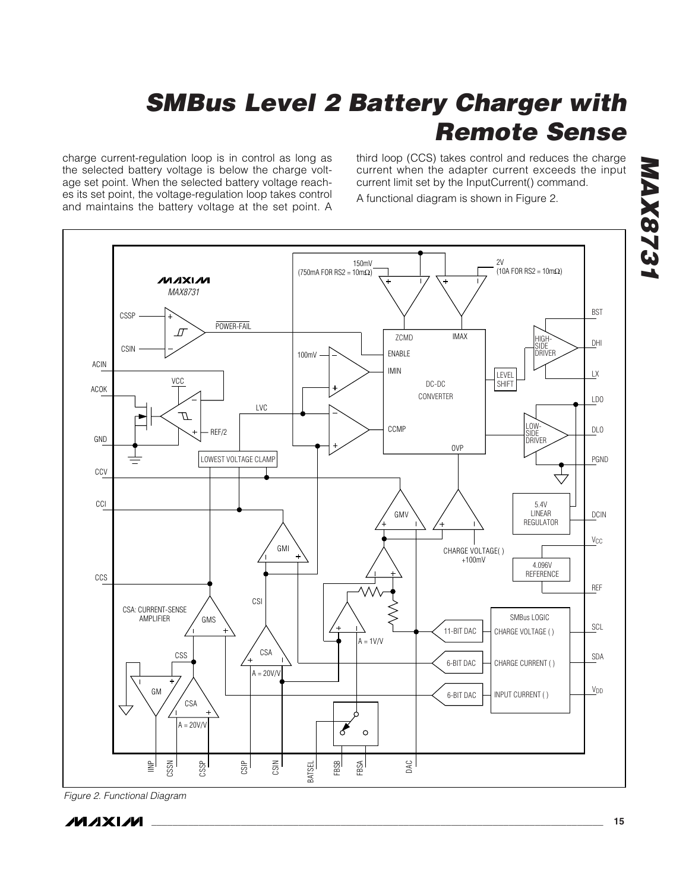charge current-regulation loop is in control as long as the selected battery voltage is below the charge voltage set point. When the selected battery voltage reaches its set point, the voltage-regulation loop takes control and maintains the battery voltage at the set point. A third loop (CCS) takes control and reduces the charge current when the adapter current exceeds the input current limit set by the InputCurrent() command.

A functional diagram is shown in Figure 2.



*Figure 2. Functional Diagram*

**MAXIM** 

*MAX8731*

**ASZSXAM** 

**\_\_\_\_\_\_\_\_\_\_\_\_\_\_\_\_\_\_\_\_\_\_\_\_\_\_\_\_\_\_\_\_\_\_\_\_\_\_\_\_\_\_\_\_\_\_\_\_\_\_\_\_\_\_\_\_\_\_\_\_\_\_\_\_\_\_\_\_\_\_\_\_\_\_\_\_\_\_\_\_\_\_\_\_\_\_ 15**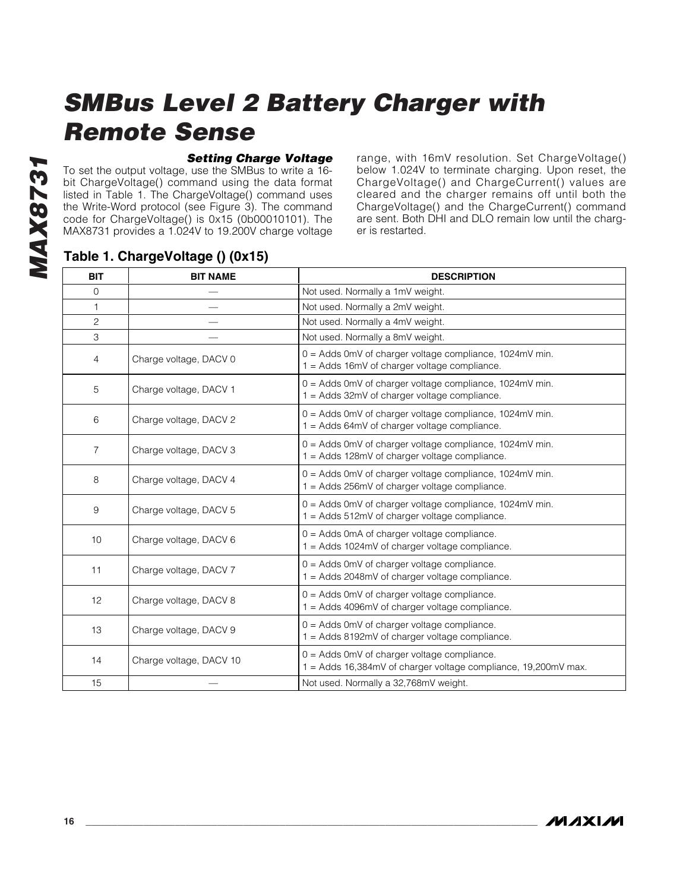#### *Setting Charge Voltage*

To set the output voltage, use the SMBus to write a 16 bit ChargeVoltage() command using the data format listed in Table 1. The ChargeVoltage() command uses the Write-Word protocol (see Figure 3). The command code for ChargeVoltage() is 0x15 (0b00010101). The MAX8731 provides a 1.024V to 19.200V charge voltage

range, with 16mV resolution. Set ChargeVoltage() below 1.024V to terminate charging. Upon reset, the ChargeVoltage() and ChargeCurrent() values are cleared and the charger remains off until both the ChargeVoltage() and the ChargeCurrent() command are sent. Both DHI and DLO remain low until the charger is restarted.

### **Table 1. ChargeVoltage () (0x15)**

| <b>BIT</b>     | <b>BIT NAME</b>         | <b>DESCRIPTION</b>                                                                                              |
|----------------|-------------------------|-----------------------------------------------------------------------------------------------------------------|
| $\mathbf 0$    |                         | Not used. Normally a 1mV weight.                                                                                |
| $\mathbf{1}$   |                         | Not used. Normally a 2mV weight.                                                                                |
| $\mathbf{2}$   |                         | Not used. Normally a 4mV weight.                                                                                |
| 3              |                         | Not used. Normally a 8mV weight.                                                                                |
| $\overline{4}$ | Charge voltage, DACV 0  | 0 = Adds 0mV of charger voltage compliance, 1024mV min.<br>1 = Adds 16mV of charger voltage compliance.         |
| 5              | Charge voltage, DACV 1  | 0 = Adds 0mV of charger voltage compliance, 1024mV min.<br>1 = Adds 32mV of charger voltage compliance.         |
| 6              | Charge voltage, DACV 2  | 0 = Adds 0mV of charger voltage compliance, 1024mV min.<br>1 = Adds 64mV of charger voltage compliance.         |
| $\overline{7}$ | Charge voltage, DACV 3  | 0 = Adds 0mV of charger voltage compliance, 1024mV min.<br>1 = Adds 128mV of charger voltage compliance.        |
| 8              | Charge voltage, DACV 4  | 0 = Adds 0mV of charger voltage compliance, 1024mV min.<br>1 = Adds 256mV of charger voltage compliance.        |
| 9              | Charge voltage, DACV 5  | 0 = Adds 0mV of charger voltage compliance, 1024mV min.<br>1 = Adds 512mV of charger voltage compliance.        |
| 10             | Charge voltage, DACV 6  | 0 = Adds 0mA of charger voltage compliance.<br>1 = Adds 1024mV of charger voltage compliance.                   |
| 11             | Charge voltage, DACV 7  | $0 =$ Adds 0mV of charger voltage compliance.<br>1 = Adds 2048mV of charger voltage compliance.                 |
| 12             | Charge voltage, DACV 8  | 0 = Adds 0mV of charger voltage compliance.<br>1 = Adds 4096mV of charger voltage compliance.                   |
| 13             | Charge voltage, DACV 9  | $0 =$ Adds 0mV of charger voltage compliance.<br>1 = Adds 8192mV of charger voltage compliance.                 |
| 14             | Charge voltage, DACV 10 | $0 =$ Adds 0mV of charger voltage compliance.<br>1 = Adds 16,384mV of charger voltage compliance, 19,200mV max. |
| 15             |                         | Not used. Normally a 32,768mV weight.                                                                           |

**MAXM**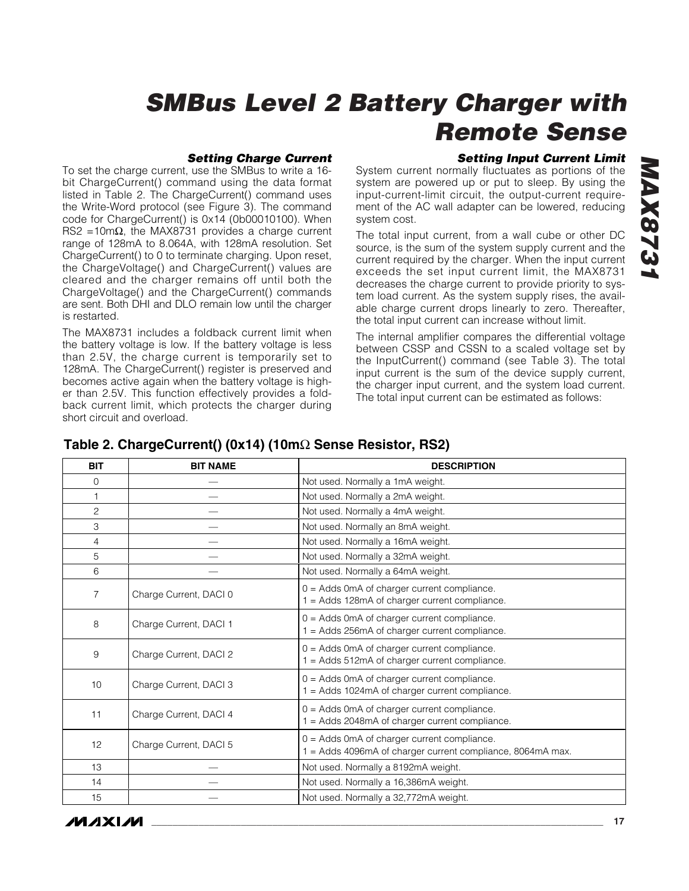#### *Setting Charge Current*

To set the charge current, use the SMBus to write a 16 bit ChargeCurrent() command using the data format listed in Table 2. The ChargeCurrent() command uses the Write-Word protocol (see Figure 3). The command code for ChargeCurrent() is 0x14 (0b00010100). When RS2 =10m $\Omega$ , the MAX8731 provides a charge current range of 128mA to 8.064A, with 128mA resolution. Set ChargeCurrent() to 0 to terminate charging. Upon reset, the ChargeVoltage() and ChargeCurrent() values are cleared and the charger remains off until both the ChargeVoltage() and the ChargeCurrent() commands are sent. Both DHI and DLO remain low until the charger is restarted.

The MAX8731 includes a foldback current limit when the battery voltage is low. If the battery voltage is less than 2.5V, the charge current is temporarily set to 128mA. The ChargeCurrent() register is preserved and becomes active again when the battery voltage is higher than 2.5V. This function effectively provides a foldback current limit, which protects the charger during short circuit and overload.

#### *Setting Input Current Limit*

System current normally fluctuates as portions of the system are powered up or put to sleep. By using the input-current-limit circuit, the output-current requirement of the AC wall adapter can be lowered, reducing system cost.

The total input current, from a wall cube or other DC source, is the sum of the system supply current and the current required by the charger. When the input current exceeds the set input current limit, the MAX8731 decreases the charge current to provide priority to system load current. As the system supply rises, the available charge current drops linearly to zero. Thereafter, the total input current can increase without limit.

The internal amplifier compares the differential voltage between CSSP and CSSN to a scaled voltage set by the InputCurrent() command (see Table 3). The total input current is the sum of the device supply current, the charger input current, and the system load current. The total input current can be estimated as follows:

| <b>BIT</b>     | <b>BIT NAME</b>        | <b>DESCRIPTION</b>                                                                                          |
|----------------|------------------------|-------------------------------------------------------------------------------------------------------------|
| 0              |                        | Not used. Normally a 1mA weight.                                                                            |
| 1              |                        | Not used. Normally a 2mA weight.                                                                            |
| $\overline{c}$ |                        | Not used. Normally a 4mA weight.                                                                            |
| 3              |                        | Not used. Normally an 8mA weight.                                                                           |
| 4              |                        | Not used. Normally a 16mA weight.                                                                           |
| 5              |                        | Not used. Normally a 32mA weight.                                                                           |
| 6              |                        | Not used. Normally a 64mA weight.                                                                           |
| 7              | Charge Current, DACI 0 | 0 = Adds 0mA of charger current compliance.<br>1 = Adds 128mA of charger current compliance.                |
| 8              | Charge Current, DACI 1 | $0 =$ Adds 0mA of charger current compliance.<br>1 = Adds 256mA of charger current compliance.              |
| 9              | Charge Current, DACI 2 | 0 = Adds 0mA of charger current compliance.<br>1 = Adds 512mA of charger current compliance.                |
| 10             | Charge Current, DACI 3 | 0 = Adds 0mA of charger current compliance.<br>1 = Adds 1024mA of charger current compliance.               |
| 11             | Charge Current, DACI 4 | $0 =$ Adds 0mA of charger current compliance.<br>1 = Adds 2048mA of charger current compliance.             |
| 12             | Charge Current, DACI 5 | $0 =$ Adds 0mA of charger current compliance.<br>1 = Adds 4096mA of charger current compliance, 8064mA max. |
| 13             |                        | Not used. Normally a 8192mA weight.                                                                         |
| 14             |                        | Not used. Normally a 16,386mA weight.                                                                       |
| 15             |                        | Not used. Normally a 32,772mA weight.                                                                       |

### **Table 2. ChargeCurrent() (0x14) (10m**Ω **Sense Resistor, RS2)**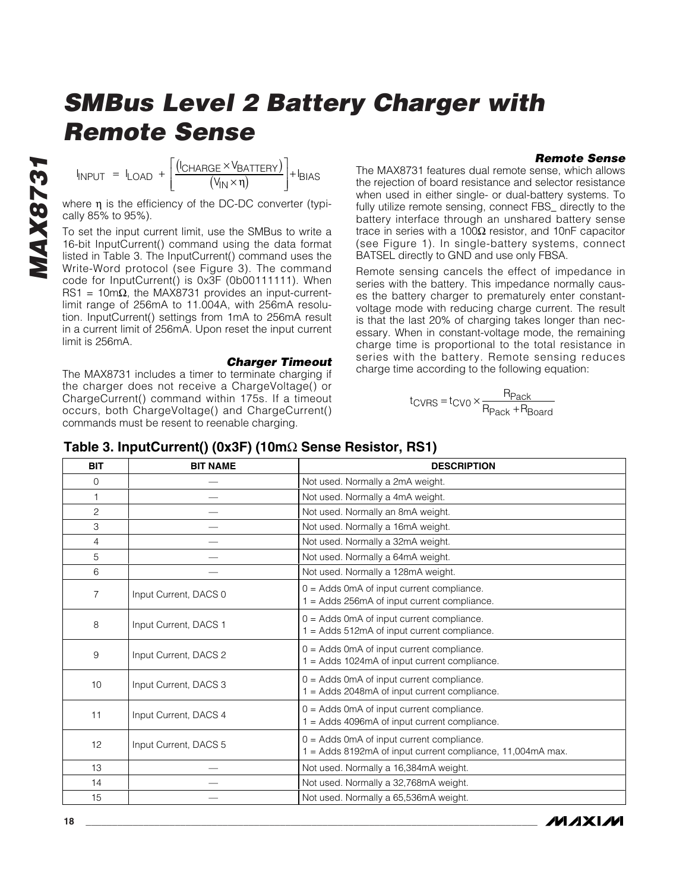#### *Remote Sense*

 $I_{\text{INPUT}} = I_{\text{LOAD}} + \frac{(I_{\text{CHARGE}} \times V_{\text{I}})}{(V_{\text{II}})}$  $N$ input =  $L$ oad +  $\frac{C_{N}N}{C_{N}N}$ =  $I_{LOAD}$  +  $\frac{I_{ICHARGE} \times V_{BATIENT}}{(V_{IN} \times \eta)}$  + Ibias  $(V_{\mathsf{IN}}\!\times\!\mathfrak{n})$  $\mathsf{L}$ ⎣  $\mathsf{I}$ ⎢ ⎤ ⎦  $\overline{\phantom{a}}$  $\overline{\phantom{a}}$  $\frac{1}{n}$  +

where η is the efficiency of the DC-DC converter (typically 85% to 95%).

To set the input current limit, use the SMBus to write a 16-bit InputCurrent() command using the data format listed in Table 3. The InputCurrent() command uses the Write-Word protocol (see Figure 3). The command code for InputCurrent() is 0x3F (0b00111111). When RS1 = 10m $\Omega$ , the MAX8731 provides an input-currentlimit range of 256mA to 11.004A, with 256mA resolution. InputCurrent() settings from 1mA to 256mA result in a current limit of 256mA. Upon reset the input current limit is 256mA.

*Charger Timeout*

The MAX8731 includes a timer to terminate charging if the charger does not receive a ChargeVoltage() or ChargeCurrent() command within 175s. If a timeout occurs, both ChargeVoltage() and ChargeCurrent() commands must be resent to reenable charging.

#### The MAX8731 features dual remote sense, which allows the rejection of board resistance and selector resistance when used in either single- or dual-battery systems. To fully utilize remote sensing, connect FBS\_ directly to the battery interface through an unshared battery sense trace in series with a 100Ω resistor, and 10nF capacitor (see Figure 1). In single-battery systems, connect BATSEL directly to GND and use only FBSA.

Remote sensing cancels the effect of impedance in series with the battery. This impedance normally causes the battery charger to prematurely enter constantvoltage mode with reducing charge current. The result is that the last 20% of charging takes longer than necessary. When in constant-voltage mode, the remaining charge time is proportional to the total resistance in series with the battery. Remote sensing reduces charge time according to the following equation:

$$
t_{CVRS} = t_{CVO} \times \frac{R_{Pack}}{R_{Pack} + R_{Board}}
$$

| <b>BIT</b>     | <b>BIT NAME</b>       | <b>DESCRIPTION</b>                                                                                        |
|----------------|-----------------------|-----------------------------------------------------------------------------------------------------------|
| 0              |                       | Not used. Normally a 2mA weight.                                                                          |
| 1              |                       | Not used. Normally a 4mA weight.                                                                          |
| 2              |                       | Not used. Normally an 8mA weight.                                                                         |
| 3              |                       | Not used. Normally a 16mA weight.                                                                         |
| $\overline{4}$ |                       | Not used. Normally a 32mA weight.                                                                         |
| 5              |                       | Not used. Normally a 64mA weight.                                                                         |
| 6              |                       | Not used. Normally a 128mA weight.                                                                        |
| 7              | Input Current, DACS 0 | $0 =$ Adds 0mA of input current compliance.<br>1 = Adds 256mA of input current compliance.                |
| 8              | Input Current, DACS 1 | $0 =$ Adds 0mA of input current compliance.<br>1 = Adds 512mA of input current compliance.                |
| 9              | Input Current, DACS 2 | 0 = Adds 0mA of input current compliance.<br>1 = Adds 1024mA of input current compliance.                 |
| 10             | Input Current, DACS 3 | $0 =$ Adds 0mA of input current compliance.<br>1 = Adds 2048mA of input current compliance.               |
| 11             | Input Current, DACS 4 | $0 =$ Adds 0mA of input current compliance.<br>1 = Adds 4096mA of input current compliance.               |
| 12             | Input Current, DACS 5 | $0 =$ Adds 0mA of input current compliance.<br>1 = Adds 8192mA of input current compliance, 11,004mA max. |
| 13             |                       | Not used. Normally a 16,384mA weight.                                                                     |
| 14             |                       | Not used. Normally a 32,768mA weight.                                                                     |
| 15             |                       | Not used. Normally a 65,536mA weight.                                                                     |

### **Table 3. InputCurrent() (0x3F) (10m**Ω **Sense Resistor, RS1)**

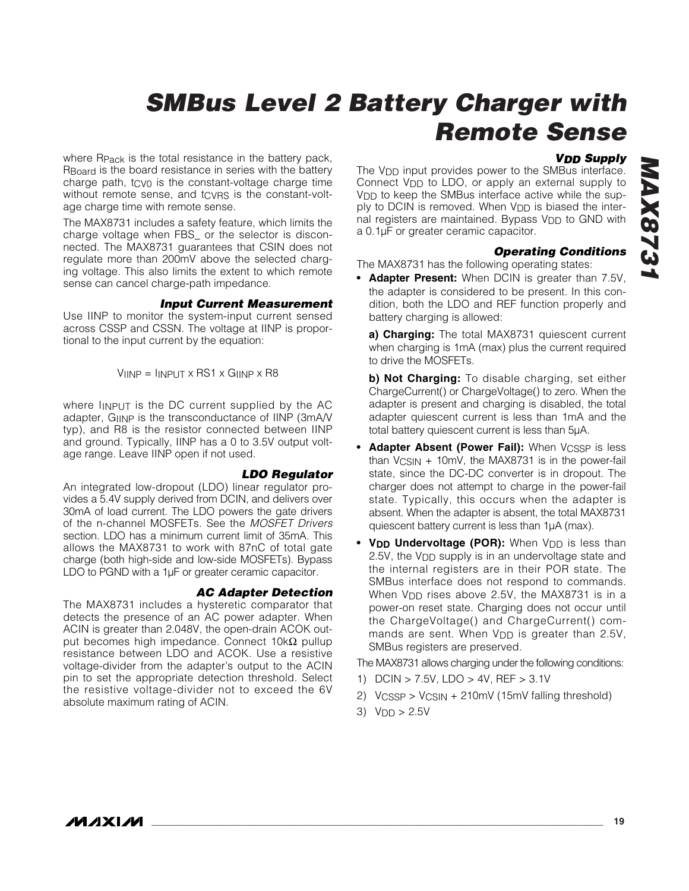#### *VDD Supply*

where R<sub>Pack</sub> is the total resistance in the battery pack, RBoard is the board resistance in series with the battery charge path, tcvo is the constant-voltage charge time without remote sense, and tCVRS is the constant-voltage charge time with remote sense.

The MAX8731 includes a safety feature, which limits the charge voltage when FBS\_ or the selector is disconnected. The MAX8731 guarantees that CSIN does not regulate more than 200mV above the selected charging voltage. This also limits the extent to which remote sense can cancel charge-path impedance.

#### *Input Current Measurement*

Use IINP to monitor the system-input current sensed across CSSP and CSSN. The voltage at IINP is proportional to the input current by the equation:

 $V_{\text{IINP}} = I_{\text{INPUT}} \times \text{RS1} \times G_{\text{IINP}} \times \text{R8}$ 

where IINPUT is the DC current supplied by the AC adapter, GIINP is the transconductance of IINP (3mA/V typ), and R8 is the resistor connected between IINP and ground. Typically, IINP has a 0 to 3.5V output voltage range. Leave IINP open if not used.

#### *LDO Regulator*

An integrated low-dropout (LDO) linear regulator provides a 5.4V supply derived from DCIN, and delivers over 30mA of load current. The LDO powers the gate drivers of the n-channel MOSFETs. See the *MOSFET Drivers* section. LDO has a minimum current limit of 35mA. This allows the MAX8731 to work with 87nC of total gate charge (both high-side and low-side MOSFETs). Bypass LDO to PGND with a 1µF or greater ceramic capacitor.

#### *AC Adapter Detection*

The MAX8731 includes a hysteretic comparator that detects the presence of an AC power adapter. When ACIN is greater than 2.048V, the open-drain ACOK output becomes high impedance. Connect  $10kΩ$  pullup resistance between LDO and ACOK. Use a resistive voltage-divider from the adapter's output to the ACIN pin to set the appropriate detection threshold. Select the resistive voltage-divider not to exceed the 6V absolute maximum rating of ACIN.

The V<sub>DD</sub> input provides power to the SMBus interface. Connect V<sub>DD</sub> to LDO, or apply an external supply to V<sub>DD</sub> to keep the SMBus interface active while the supply to DCIN is removed. When V<sub>DD</sub> is biased the internal registers are maintained. Bypass  $V_{DD}$  to GND with a 0.1µF or greater ceramic capacitor.

#### *Operating Conditions*

The MAX8731 has the following operating states:

**• Adapter Present:** When DCIN is greater than 7.5V, the adapter is considered to be present. In this condition, both the LDO and REF function properly and battery charging is allowed:

**a) Charging:** The total MAX8731 quiescent current when charging is 1mA (max) plus the current required to drive the MOSFETs.

**b) Not Charging:** To disable charging, set either ChargeCurrent() or ChargeVoltage() to zero. When the adapter is present and charging is disabled, the total adapter quiescent current is less than 1mA and the total battery quiescent current is less than 5µA.

- **Adapter Absent (Power Fail):** When VCSSP is less than  $V_{CSIN}$  + 10mV, the MAX8731 is in the power-fail state, since the DC-DC converter is in dropout. The charger does not attempt to charge in the power-fail state. Typically, this occurs when the adapter is absent. When the adapter is absent, the total MAX8731 quiescent battery current is less than 1µA (max).
- VDD Undervoltage (POR): When V<sub>DD</sub> is less than 2.5V, the V<sub>DD</sub> supply is in an undervoltage state and the internal registers are in their POR state. The SMBus interface does not respond to commands. When V<sub>DD</sub> rises above 2.5V, the MAX8731 is in a power-on reset state. Charging does not occur until the ChargeVoltage() and ChargeCurrent() commands are sent. When V<sub>DD</sub> is greater than 2.5V, SMBus registers are preserved.

The MAX8731 allows charging under the following conditions:

- 1) DCIN > 7.5V, LDO > 4V, REF > 3.1V
- 2) VCSSP > VCSIN + 210mV (15mV falling threshold)
- 3)  $V_{DD} > 2.5V$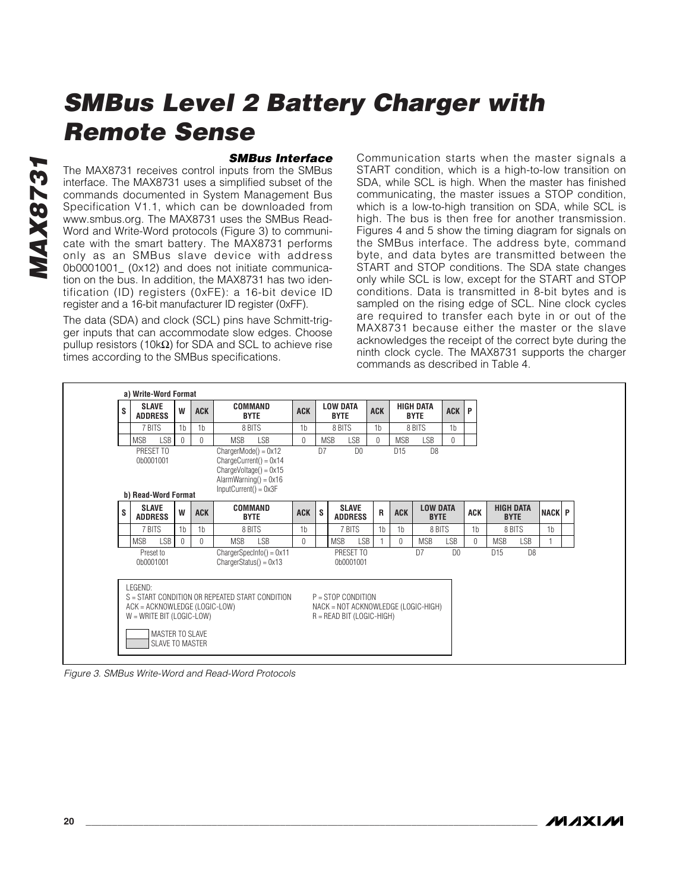#### *SMBus Interface*

The MAX8731 receives control inputs from the SMBus interface. The MAX8731 uses a simplified subset of the commands documented in System Management Bus Specification V1.1, which can be downloaded from www.smbus.org. The MAX8731 uses the SMBus Read-Word and Write-Word protocols (Figure 3) to communicate with the smart battery. The MAX8731 performs only as an SMBus slave device with address 0b0001001\_ (0x12) and does not initiate communication on the bus. In addition, the MAX8731 has two identification (ID) registers (0xFE): a 16-bit device ID register and a 16-bit manufacturer ID register (0xFF).

The data (SDA) and clock (SCL) pins have Schmitt-trigger inputs that can accommodate slow edges. Choose pullup resistors (10kΩ) for SDA and SCL to achieve rise times according to the SMBus specifications.

Communication starts when the master signals a START condition, which is a high-to-low transition on SDA, while SCL is high. When the master has finished communicating, the master issues a STOP condition, which is a low-to-high transition on SDA, while SCL is high. The bus is then free for another transmission. Figures 4 and 5 show the timing diagram for signals on the SMBus interface. The address byte, command byte, and data bytes are transmitted between the START and STOP conditions. The SDA state changes only while SCL is low, except for the START and STOP conditions. Data is transmitted in 8-bit bytes and is sampled on the rising edge of SCL. Nine clock cycles are required to transfer each byte in or out of the MAX8731 because either the master or the slave acknowledges the receipt of the correct byte during the ninth clock cycle. The MAX8731 supports the charger commands as described in Table 4.



*Figure 3. SMBus Write-Word and Read-Word Protocols*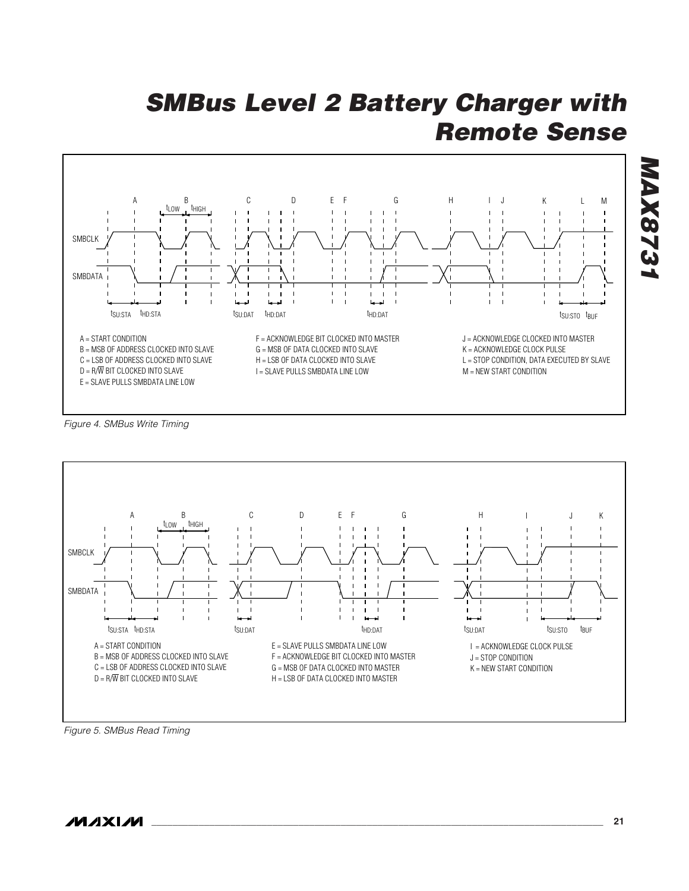

*Figure 4. SMBus Write Timing*



*Figure 5. SMBus Read Timing*

*MAX8731*

**MAX8731**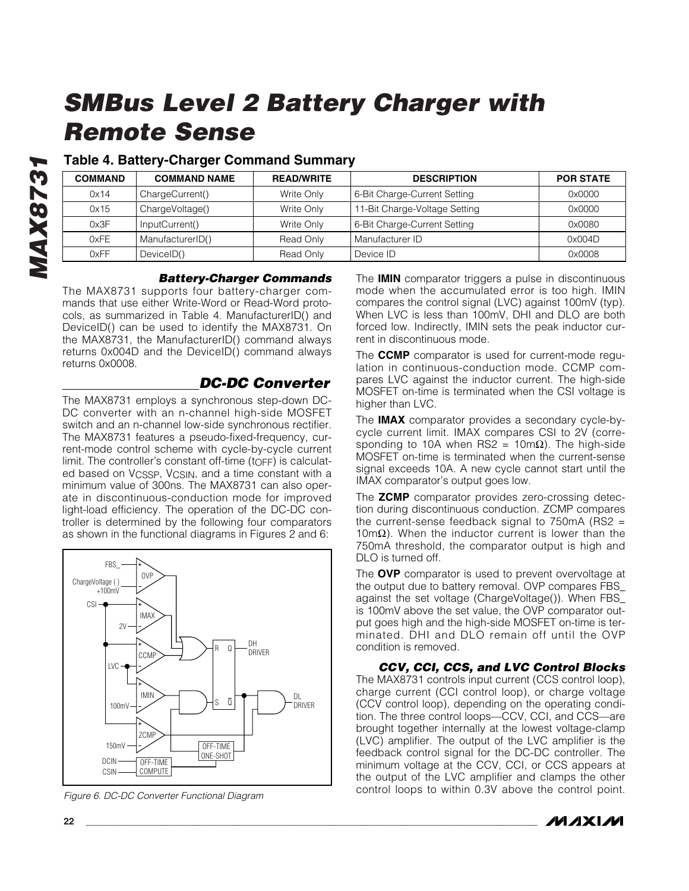### **Table 4. Battery-Charger Command Summary**

| <b>COMMAND</b> | <b>COMMAND NAME</b> | <b>READ/WRITE</b> | <b>DESCRIPTION</b>            | <b>POR STATE</b> |
|----------------|---------------------|-------------------|-------------------------------|------------------|
| 0x14           | ChargeCurrent()     | Write Only        | 6-Bit Charge-Current Setting  | 0x0000           |
| 0x15           | ChargeVoltage()     | Write Only        | 11-Bit Charge-Voltage Setting | 0x0000           |
| 0x3F           | InputCurrent()      | Write Only        | 6-Bit Charge-Current Setting  | 0x0080           |
| 0xFE           | ManufacturerID()    | Read Only         | Manufacturer ID               | 0x004D           |
| 0xFF           | DeviceID()          | Read Only         | Device ID                     | 0x0008           |

#### *Battery-Charger Commands*

The MAX8731 supports four battery-charger commands that use either Write-Word or Read-Word protocols, as summarized in Table 4. ManufacturerID() and DeviceID() can be used to identify the MAX8731. On the MAX8731, the ManufacturerID() command always returns 0x004D and the DeviceID() command always returns 0x0008.

### *DC-DC Converter*

The MAX8731 employs a synchronous step-down DC-DC converter with an n-channel high-side MOSFET switch and an n-channel low-side synchronous rectifier. The MAX8731 features a pseudo-fixed-frequency, current-mode control scheme with cycle-by-cycle current limit. The controller's constant off-time  $(t \circ F)$  is calculated based on VCSSP, VCSIN, and a time constant with a minimum value of 300ns. The MAX8731 can also operate in discontinuous-conduction mode for improved light-load efficiency. The operation of the DC-DC controller is determined by the following four comparators as shown in the functional diagrams in Figures 2 and 6:



*Figure 6. DC-DC Converter Functional Diagram*

The **IMIN** comparator triggers a pulse in discontinuous mode when the accumulated error is too high. IMIN compares the control signal (LVC) against 100mV (typ). When LVC is less than 100mV, DHI and DLO are both forced low. Indirectly, IMIN sets the peak inductor current in discontinuous mode.

The **CCMP** comparator is used for current-mode regulation in continuous-conduction mode. CCMP compares LVC against the inductor current. The high-side MOSFET on-time is terminated when the CSI voltage is higher than LVC.

The **IMAX** comparator provides a secondary cycle-bycycle current limit. IMAX compares CSI to 2V (corresponding to 10A when RS2 = 10mΩ). The high-side MOSFET on-time is terminated when the current-sense signal exceeds 10A. A new cycle cannot start until the IMAX comparator's output goes low.

The **ZCMP** comparator provides zero-crossing detection during discontinuous conduction. ZCMP compares the current-sense feedback signal to  $750mA$  (RS2 =  $10$ mΩ). When the inductor current is lower than the 750mA threshold, the comparator output is high and DLO is turned off.

The **OVP** comparator is used to prevent overvoltage at the output due to battery removal. OVP compares FBS\_ against the set voltage (ChargeVoltage()). When FBS\_ is 100mV above the set value, the OVP comparator output goes high and the high-side MOSFET on-time is terminated. DHI and DLO remain off until the OVP condition is removed.

*CCV, CCI, CCS, and LVC Control Blocks* The MAX8731 controls input current (CCS control loop), charge current (CCI control loop), or charge voltage (CCV control loop), depending on the operating condition. The three control loops—CCV, CCI, and CCS—are brought together internally at the lowest voltage-clamp (LVC) amplifier. The output of the LVC amplifier is the feedback control signal for the DC-DC controller. The minimum voltage at the CCV, CCI, or CCS appears at the output of the LVC amplifier and clamps the other control loops to within 0.3V above the control point.

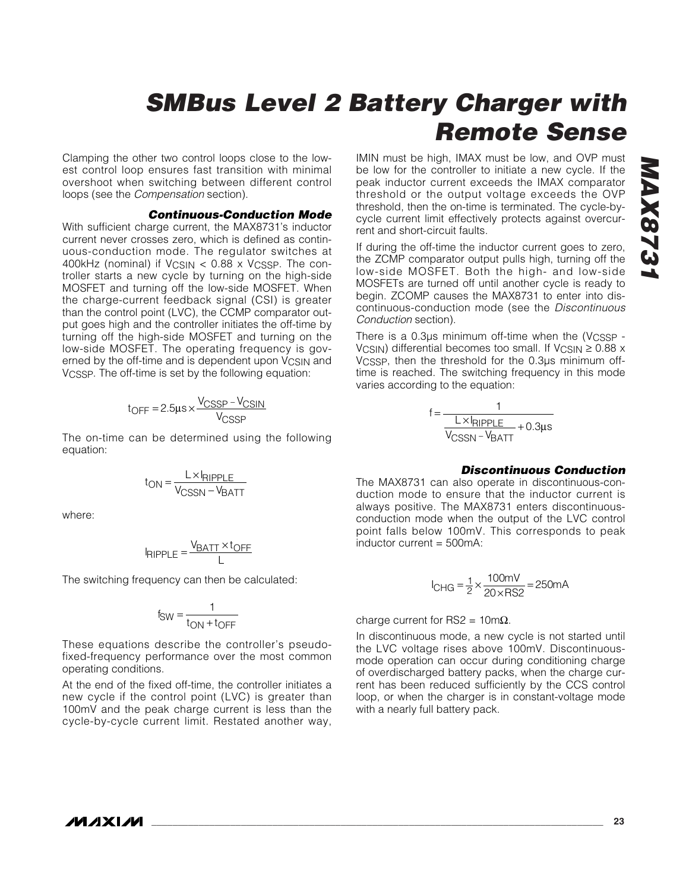Clamping the other two control loops close to the lowest control loop ensures fast transition with minimal overshoot when switching between different control loops (see the *Compensation* section).

#### *Continuous-Conduction Mode*

With sufficient charge current, the MAX8731's inductor current never crosses zero, which is defined as continuous-conduction mode. The regulator switches at 400kHz (nominal) if  $V_{\text{CSIN}} < 0.88 \times V_{\text{CSSP}}$ . The controller starts a new cycle by turning on the high-side MOSFET and turning off the low-side MOSFET. When the charge-current feedback signal (CSI) is greater than the control point (LVC), the CCMP comparator output goes high and the controller initiates the off-time by turning off the high-side MOSFET and turning on the low-side MOSFET. The operating frequency is governed by the off-time and is dependent upon V<sub>CSIN</sub> and VCSSP. The off-time is set by the following equation:

$$
t_{OFF} = 2.5 \mu s \times \frac{V_{CSSP} - V_{CSIN}}{V_{CSSP}}
$$

The on-time can be determined using the following equation:

$$
t_{ON} = \frac{L \times I_{RIPPLE}}{V_{CSSN} - V_{BATT}}
$$

where:

$$
I_{RIPPLE} = \frac{V_{BATT} \times t_{OFF}}{L}
$$

The switching frequency can then be calculated:

$$
f_{SW} = \frac{1}{t_{ON} + t_{OFF}}
$$

These equations describe the controller's pseudofixed-frequency performance over the most common operating conditions.

At the end of the fixed off-time, the controller initiates a new cycle if the control point (LVC) is greater than 100mV and the peak charge current is less than the cycle-by-cycle current limit. Restated another way,

IMIN must be high, IMAX must be low, and OVP must be low for the controller to initiate a new cycle. If the peak inductor current exceeds the IMAX comparator threshold or the output voltage exceeds the OVP threshold, then the on-time is terminated. The cycle-bycycle current limit effectively protects against overcurrent and short-circuit faults.

If during the off-time the inductor current goes to zero, the ZCMP comparator output pulls high, turning off the low-side MOSFET. Both the high- and low-side MOSFETs are turned off until another cycle is ready to begin. ZCOMP causes the MAX8731 to enter into discontinuous-conduction mode (see the *Discontinuous Conduction* section).

There is a 0.3µs minimum off-time when the (VCSSP - VCSIN) differential becomes too small. If VCSIN  $\geq$  0.88 x VCSSP, then the threshold for the 0.3µs minimum offtime is reached. The switching frequency in this mode varies according to the equation:

$$
f = \frac{1}{\frac{L \times I_{RIPPLE}}{V_{CSSN} - V_{BATT}} + 0.3 \mu s}
$$

#### *Discontinuous Conduction*

The MAX8731 can also operate in discontinuous-conduction mode to ensure that the inductor current is always positive. The MAX8731 enters discontinuousconduction mode when the output of the LVC control point falls below 100mV. This corresponds to peak inductor current = 500mA:

$$
I_{CHG} = \frac{1}{2} \times \frac{100 \text{mV}}{20 \times \text{RS2}} = 250 \text{mA}
$$

charge current for RS2 =  $10 \text{m}\Omega$ .

In discontinuous mode, a new cycle is not started until the LVC voltage rises above 100mV. Discontinuousmode operation can occur during conditioning charge of overdischarged battery packs, when the charge current has been reduced sufficiently by the CCS control loop, or when the charger is in constant-voltage mode with a nearly full battery pack.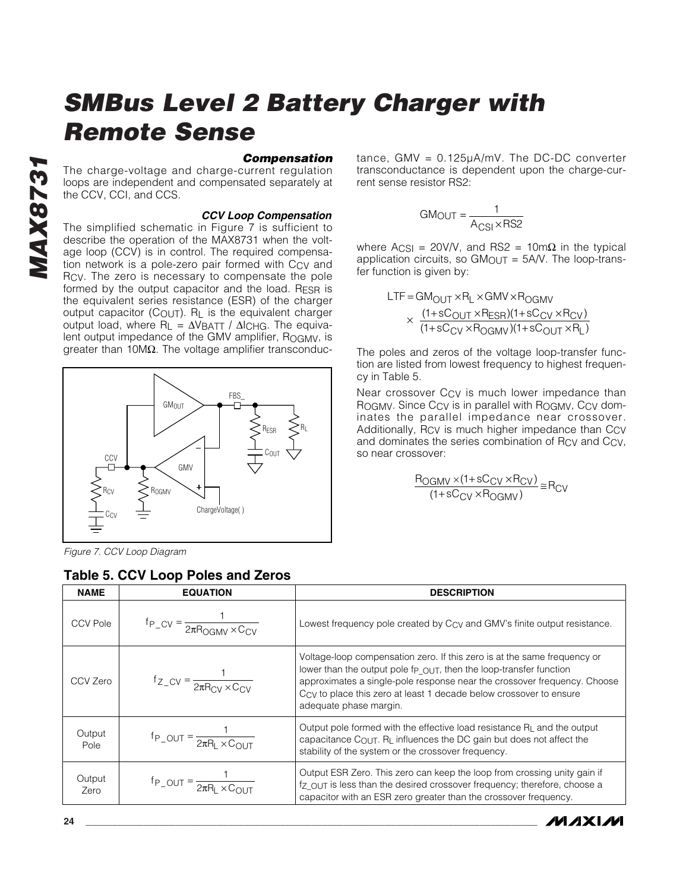#### *Compensation*

The charge-voltage and charge-current regulation loops are independent and compensated separately at the CCV, CCI, and CCS.

#### *CCV Loop Compensation*

The simplified schematic in Figure 7 is sufficient to describe the operation of the MAX8731 when the voltage loop (CCV) is in control. The required compensation network is a pole-zero pair formed with C<sub>CV</sub> and RCV. The zero is necessary to compensate the pole formed by the output capacitor and the load. RESR is the equivalent series resistance (ESR) of the charger output capacitor (COUT). R<sub>L</sub> is the equivalent charger output load, where R<sub>L</sub> = ΔV<sub>BATT</sub> / Δl<sub>CHG</sub>. The equivalent output impedance of the GMV amplifier, ROGMV, is greater than 10MΩ. The voltage amplifier transconduc-



*Figure 7. CCV Loop Diagram*

### **Table 5. CCV Loop Poles and Zeros**

tance, GMV = 0.125µA/mV. The DC-DC converter transconductance is dependent upon the charge-current sense resistor RS2:

$$
GMOUT = \frac{1}{A_{CSI} \times RS2}
$$

where  $A_{CSI} = 20V/V$ , and RS2 = 10mΩ in the typical application circuits, so  $GM<sub>OUT</sub> = 5AV$ . The loop-transfer function is given by:

$$
LTF = GM_{OUT} \times R_{L} \times GMV \times R_{OGMV}
$$
  
 
$$
\times \frac{(1+sC_{OUT} \times R_{ESR})(1+sC_{CV} \times R_{CV})}{(1+sC_{CV} \times R_{OGMV})(1+sC_{OUT} \times R_{L})}
$$

The poles and zeros of the voltage loop-transfer function are listed from lowest frequency to highest frequency in Table 5.

Near crossover CCV is much lower impedance than ROGMV. Since Ccy is in parallel with ROGMV, Ccy dominates the parallel impedance near crossover. Additionally, Rcy is much higher impedance than Ccv and dominates the series combination of Rcy and Ccy, so near crossover:

$$
\frac{R_{OGMV} \times (1 + sC_{CV} \times R_{CV})}{(1 + sC_{CV} \times R_{OGMV})} \cong R_{CV}
$$

**MAXIM** 

| <b>NAME</b>     | <b>EQUATION</b>                                                 | <b>DESCRIPTION</b>                                                                                                                                                                                                                                                                                                                                  |
|-----------------|-----------------------------------------------------------------|-----------------------------------------------------------------------------------------------------------------------------------------------------------------------------------------------------------------------------------------------------------------------------------------------------------------------------------------------------|
| <b>CCV Pole</b> | $f_{P_C V} = \frac{1}{2\pi R_{OCMV} \times C_{CV}}$             | Lowest frequency pole created by C <sub>CV</sub> and GMV's finite output resistance.                                                                                                                                                                                                                                                                |
| CCV Zero        | $f_{Z_C V} = \frac{1}{2\pi R_{\text{CV}} \times C_{\text{CV}}}$ | Voltage-loop compensation zero. If this zero is at the same frequency or<br>lower than the output pole f <sub>p</sub> $_{\text{OUT}}$ , then the loop-transfer function<br>approximates a single-pole response near the crossover frequency. Choose<br>Ccy to place this zero at least 1 decade below crossover to ensure<br>adequate phase margin. |
| Output<br>Pole  | $f_{P_0U} = \frac{1}{2\pi R_1 \times C_{OUT}}$                  | Output pole formed with the effective load resistance $RL$ and the output<br>capacitance $C_{\text{OUT}}$ . $R_{\text{L}}$ influences the DC gain but does not affect the<br>stability of the system or the crossover frequency.                                                                                                                    |
| Output<br>Zero  | $f_{P_0U} = \frac{1}{2\pi R_1 \times C_{OUT}}$                  | Output ESR Zero. This zero can keep the loop from crossing unity gain if<br>fz OUT is less than the desired crossover frequency; therefore, choose a<br>capacitor with an ESR zero greater than the crossover frequency.                                                                                                                            |

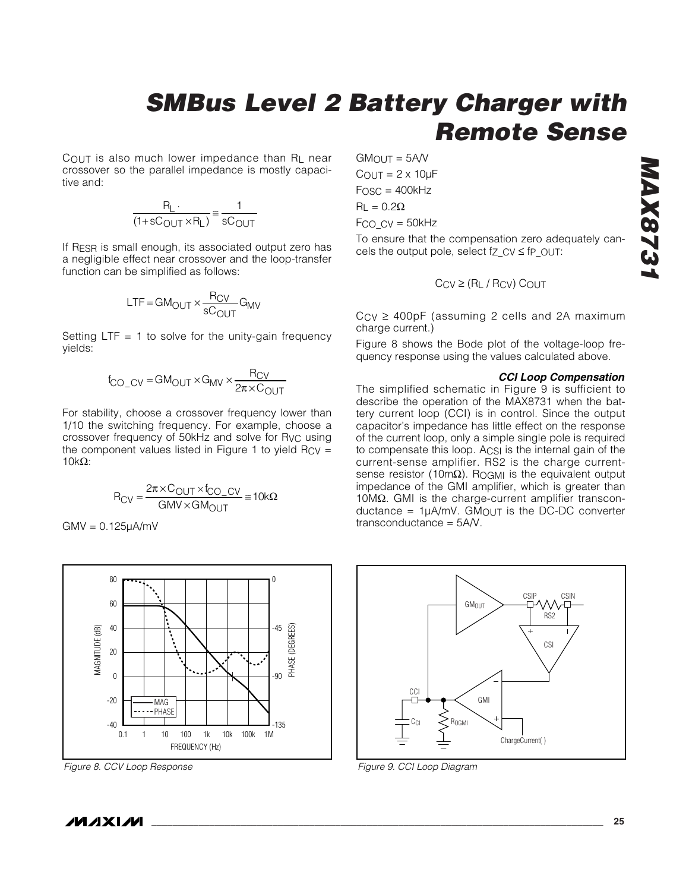COUT is also much lower impedance than RL near crossover so the parallel impedance is mostly capacitive and:

$$
\frac{R_L}{(1+sC_{\text{OUT}} \times R_L)} \approx \frac{1}{sC_{\text{OUT}}}
$$

If RESR is small enough, its associated output zero has a negligible effect near crossover and the loop-transfer function can be simplified as follows:

$$
LTF = GM_{OUT} \times \frac{R_{CV}}{sC_{OUT}} G_{MV}
$$

Setting  $LTF = 1$  to solve for the unity-gain frequency yields:

$$
f_{\text{CO\_CV}} = \text{GM}_{\text{OUT}} \times \text{G}_{\text{MV}} \times \frac{\text{R}_{\text{CV}}}{2\pi \times \text{C}_{\text{OUT}}}
$$

For stability, choose a crossover frequency lower than 1/10 the switching frequency. For example, choose a crossover frequency of 50kHz and solve for RVC using the component values listed in Figure 1 to yield  $R_{CV} =$  $10kΩ$ :

$$
R_{CV} = \frac{2\pi \times C_{OUT} \times f_{CO\_CV}}{GMV \times GM_{OUT}} \cong 10k\Omega
$$

GMV = 0.125µA/mV



*Figure 8. CCV Loop Response Figure 9. CCI Loop Diagram*

 $GM$  $N = 5$  $AN$  $C$ OUT =  $2 \times 10$ µF  $F$ OSC = 400 $k$ Hz  $R<sub>L</sub> = 0.2Ω$  $FCO$   $CV = 50kHz$ 

To ensure that the compensation zero adequately cancels the output pole, select  $f_{Z_C}$   $y \leq f_{P_O}$ UT:

$$
C_{CV} \geq (R_L / R_{CV}) C_{OUT}
$$

 $CCV \geq 400pF$  (assuming 2 cells and 2A maximum charge current.)

Figure 8 shows the Bode plot of the voltage-loop frequency response using the values calculated above.

#### *CCI Loop Compensation*

The simplified schematic in Figure 9 is sufficient to describe the operation of the MAX8731 when the battery current loop (CCI) is in control. Since the output capacitor's impedance has little effect on the response of the current loop, only a simple single pole is required to compensate this loop. ACSI is the internal gain of the current-sense amplifier. RS2 is the charge currentsense resistor (10mΩ). R<sub>OGMI</sub> is the equivalent output impedance of the GMI amplifier, which is greater than 10M $Ω$ . GMI is the charge-current amplifier transcon $ductance = 1<sub>U</sub>A/mV$ . GMOUT is the DC-DC converter transconductance = 5A/V.

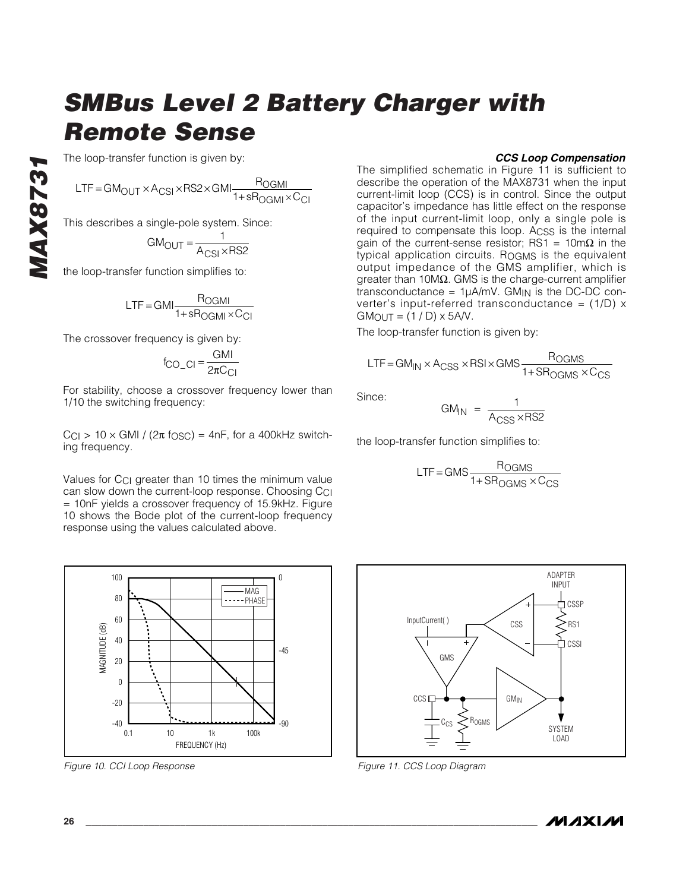The loop-transfer function is given by:

$$
LTF = GM_{OUT} \times A_{CSI} \times RSZ \times GMI \frac{R_{OGMI}}{1 + sR_{OGMI} \times C_{CI}}
$$

This describes a single-pole system. Since:

$$
GM_{\text{OUT}} = \frac{1}{A_{\text{CSI}} \times \text{RS2}}
$$

the loop-transfer function simplifies to:

*MAX8731*

**VIAX873** 

$$
LTF = GMI \frac{R_{OGMI}}{1 + sR_{OGMI} \times C_{CI}}
$$

The crossover frequency is given by:

$$
f_{\rm CO\_Cl} = \frac{GMI}{2\pi C_{Cl}}
$$

For stability, choose a crossover frequency lower than 1/10 the switching frequency:

 $|C_{\text{Cl}}| > 10 \times$  GMI / (2 $\pi$  f<sub>OSC</sub>) = 4nF, for a 400kHz switching frequency.

Values for C<sub>CI</sub> greater than 10 times the minimum value can slow down the current-loop response. Choosing CCI = 10nF yields a crossover frequency of 15.9kHz. Figure 10 shows the Bode plot of the current-loop frequency response using the values calculated above.



*Figure 10. CCI Loop Response Figure 11. CCS Loop Diagram*

#### *CCS Loop Compensation*

The simplified schematic in Figure 11 is sufficient to describe the operation of the MAX8731 when the input current-limit loop (CCS) is in control. Since the output capacitor's impedance has little effect on the response of the input current-limit loop, only a single pole is required to compensate this loop. ACSS is the internal gain of the current-sense resistor; RS1 =  $10 \text{m}\Omega$  in the typical application circuits. ROGMS is the equivalent output impedance of the GMS amplifier, which is greater than 10MΩ. GMS is the charge-current amplifier transconductance =  $1\mu A/mV$ . GM<sub>IN</sub> is the DC-DC converter's input-referred transconductance =  $(1/D)$  x  $GMOUT = (1/D) \times 5A/V$ .

The loop-transfer function is given by:

$$
LTF = GM_{IN} \times A_{CSS} \times RSI \times GMS \frac{R_{OGMS}}{1 + SR_{OGMS} \times C_{CS}}
$$

Since:

$$
GM_{IN} = \frac{1}{A_{CSS} \times RS2}
$$

the loop-transfer function simplifies to:

$$
LTF = GMS \frac{R_{OGMS}}{1 + SR_{OGMS} \times C_{CS}}
$$



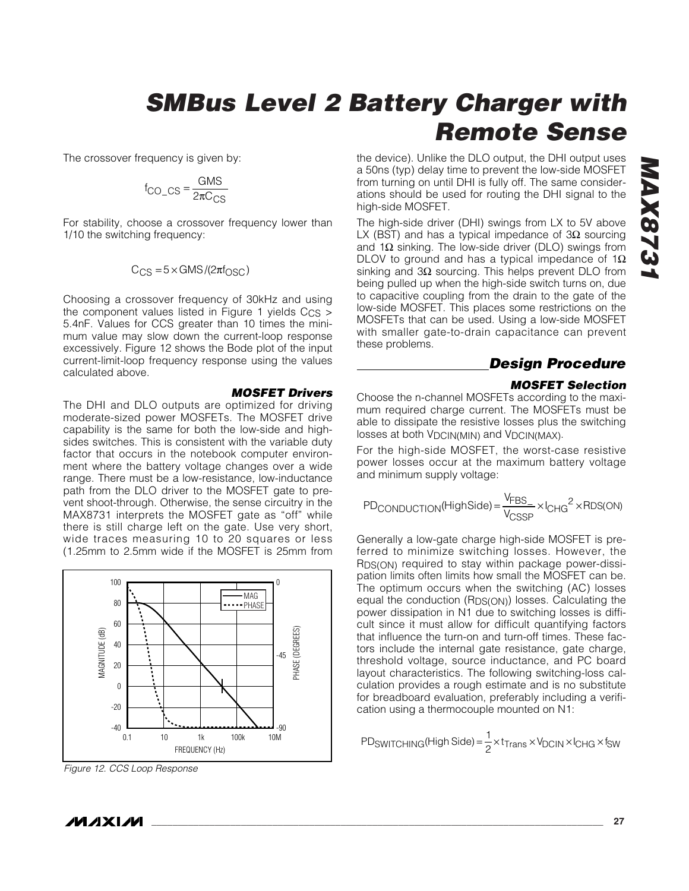The crossover frequency is given by:

$$
f_{\text{CO}\_\text{CS}} = \frac{\text{GMS}}{2\pi C_{\text{CS}}}
$$

For stability, choose a crossover frequency lower than 1/10 the switching frequency:

$$
C_{CS} = 5 \times \text{GMS} / (2\pi f_{OSC})
$$

Choosing a crossover frequency of 30kHz and using the component values listed in Figure 1 yields  $C_{CS}$  > 5.4nF. Values for CCS greater than 10 times the minimum value may slow down the current-loop response excessively. Figure 12 shows the Bode plot of the input current-limit-loop frequency response using the values calculated above.

#### *MOSFET Drivers*

The DHI and DLO outputs are optimized for driving moderate-sized power MOSFETs. The MOSFET drive capability is the same for both the low-side and highsides switches. This is consistent with the variable duty factor that occurs in the notebook computer environment where the battery voltage changes over a wide range. There must be a low-resistance, low-inductance path from the DLO driver to the MOSFET gate to prevent shoot-through. Otherwise, the sense circuitry in the MAX8731 interprets the MOSFET gate as "off" while there is still charge left on the gate. Use very short, wide traces measuring 10 to 20 squares or less (1.25mm to 2.5mm wide if the MOSFET is 25mm from



*Figure 12. CCS Loop Response*

the device). Unlike the DLO output, the DHI output uses a 50ns (typ) delay time to prevent the low-side MOSFET from turning on until DHI is fully off. The same considerations should be used for routing the DHI signal to the high-side MOSFET.

The high-side driver (DHI) swings from LX to 5V above LX (BST) and has a typical impedance of 3 $\Omega$  sourcing and 1 $\Omega$  sinking. The low-side driver (DLO) swings from DLOV to ground and has a typical impedance of 1 $\Omega$ sinking and 3Ω sourcing. This helps prevent DLO from being pulled up when the high-side switch turns on, due to capacitive coupling from the drain to the gate of the low-side MOSFET. This places some restrictions on the MOSFETs that can be used. Using a low-side MOSFET with smaller gate-to-drain capacitance can prevent these problems.

### *Design Procedure*

#### *MOSFET Selection*

Choose the n-channel MOSFETs according to the maximum required charge current. The MOSFETs must be able to dissipate the resistive losses plus the switching losses at both V<sub>DCIN(MIN)</sub> and V<sub>DCIN(MAX)</sub>.

For the high-side MOSFET, the worst-case resistive power losses occur at the maximum battery voltage and minimum supply voltage:

$$
PD_{CONDUCTION}(HighSide) = \frac{V_{FBS_{-}}}{V_{CSSP}} \times I_{CHG}^{2} \times RDS(ON)
$$

Generally a low-gate charge high-side MOSFET is preferred to minimize switching losses. However, the RDS(ON) required to stay within package power-dissipation limits often limits how small the MOSFET can be. The optimum occurs when the switching (AC) losses equal the conduction (RDS(ON)) losses. Calculating the power dissipation in N1 due to switching losses is difficult since it must allow for difficult quantifying factors that influence the turn-on and turn-off times. These factors include the internal gate resistance, gate charge, threshold voltage, source inductance, and PC board layout characteristics. The following switching-loss calculation provides a rough estimate and is no substitute for breadboard evaluation, preferably including a verification using a thermocouple mounted on N1:

$$
PD_{SWITCHING}(High Side) = \frac{1}{2} \times t_{Trans} \times V_{DCIN} \times I_{CHG} \times f_{SW}
$$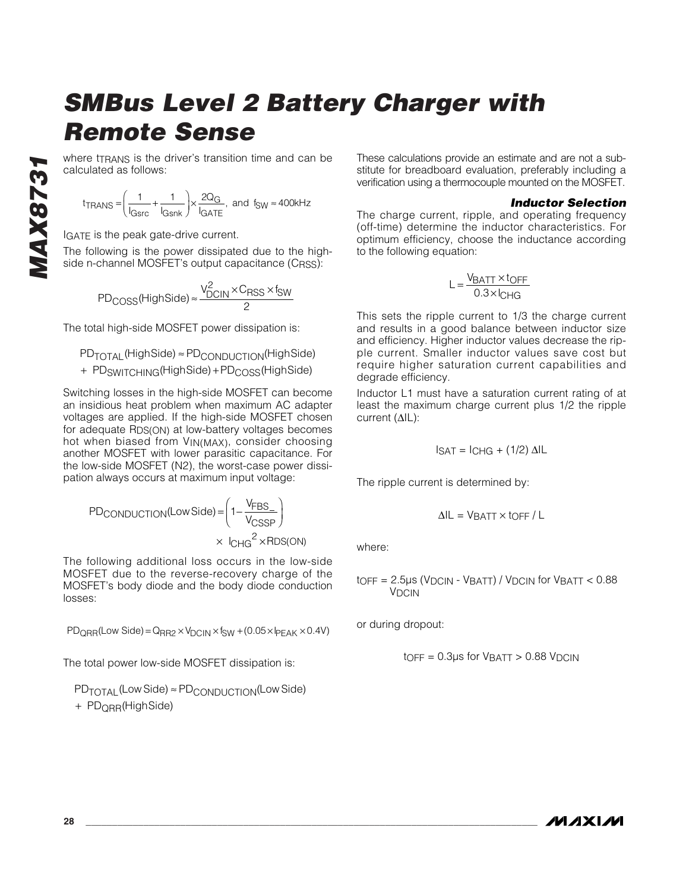where t<sub>TRANS</sub> is the driver's transition time and can be calculated as follows:

 $t_{\text{TRANS}} = \left(\frac{1}{I_{\text{Gsrc}}} + \frac{1}{I_{\text{S}}}\right)$ Q TRANS  $=\left(\frac{1}{1_{\text{Gsrc}}}+\frac{1}{1_{\text{Gsnk}}}\right) \times \frac{2Q}{1_{\text{GATE}}}$ , and  $f_{SW} \approx 400 \text{kHz}$ G  $=\left(\frac{1}{I_{\text{Gsrc}}}+\frac{1}{I_{\text{Gsnk}}}\right)\times\frac{2Q_{\text{G}}}{I_{\text{GATE}}}$ , and fsw  $\overline{\mathcal{N}}$ ⎞  $\left(\frac{1}{1_{\text{S}}}\right)$  +  $\frac{1}{1_{\text{G}}}\left|\frac{1}{1_{\text{G}}}\right|$  and  $f_{\text{SW}} \approx 400$ 

IGATE is the peak gate-drive current.

The following is the power dissipated due to the highside n-channel MOSFET's output capacitance (CRSS):

$$
PDCOSS(HighSide) \approx \frac{V_{DCIN}^2 \times C_{RSS} \times f_{SW}}{2}
$$

The total high-side MOSFET power dissipation is:

$$
\begin{aligned} & \text{PD}_{\text{TOTAL}}(\text{HighSide}) \approx \text{PD}_{\text{CONDUCTION}}(\text{HighSide}) \\ & + \text{PD}_{\text{SWITCHING}}(\text{HighSide}) + \text{PD}_{\text{COSS}}(\text{HighSide}) \end{aligned}
$$

Switching losses in the high-side MOSFET can become an insidious heat problem when maximum AC adapter voltages are applied. If the high-side MOSFET chosen for adequate RDS(ON) at low-battery voltages becomes hot when biased from V<sub>IN(MAX)</sub>, consider choosing another MOSFET with lower parasitic capacitance. For the low-side MOSFET (N2), the worst-case power dissipation always occurs at maximum input voltage:

$$
PD_{COMDUCTION}(Low Side) = \left(1 - \frac{V_{FBS_{-}}}{V_{CSSP}}\right)
$$

$$
\times \left|_{CHG}^{2} \times RDS(ON)\right|
$$

The following additional loss occurs in the low-side MOSFET due to the reverse-recovery charge of the MOSFET's body diode and the body diode conduction losses:

 $PD_{QRR}$ (Low Side) =  $Q_{RR2}$  ×  $V_{DCIN}$  ×  $f_{SW}$  + (0.05 ×  $P_{EAK}$  × 0.4V)

The total power low-side MOSFET dissipation is:

PD<sub>TOTAL</sub> (Low Side) ≈ PD<sub>CONDUCTION</sub>(Low Side) + PD<sub>QRR</sub>(HighSide)

These calculations provide an estimate and are not a substitute for breadboard evaluation, preferably including a verification using a thermocouple mounted on the MOSFET.

#### *Inductor Selection*

The charge current, ripple, and operating frequency (off-time) determine the inductor characteristics. For optimum efficiency, choose the inductance according to the following equation:

$$
L = \frac{V_{BATT} \times t_{OFF}}{0.3 \times I_{CHG}}
$$

This sets the ripple current to 1/3 the charge current and results in a good balance between inductor size and efficiency. Higher inductor values decrease the ripple current. Smaller inductor values save cost but require higher saturation current capabilities and degrade efficiency.

Inductor L1 must have a saturation current rating of at least the maximum charge current plus 1/2 the ripple current (∆IL):

$$
ISAT = ICHG + (1/2) \Delta IL
$$

The ripple current is determined by:

$$
\Delta IL = V_{BATT} \times \text{LOFF} / L
$$

where:

$$
t_{OFF} = 2.5 \mu s (V_{DCIN} - V_{BATT}) / V_{DCIN} \text{ for } V_{BATT} < 0.88
$$

or during dropout:

$$
t_{\text{OFF}} = 0.3 \mu s \text{ for } V_{\text{BATT}} > 0.88 \text{ V}_{\text{DCIN}}
$$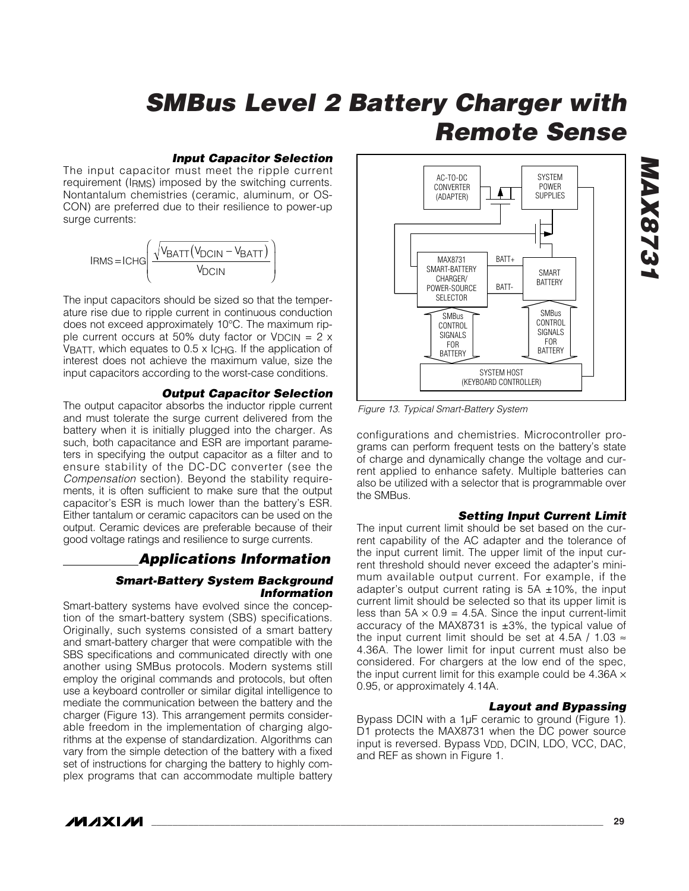#### *Input Capacitor Selection*

The input capacitor must meet the ripple current requirement (IRMS) imposed by the switching currents. Nontantalum chemistries (ceramic, aluminum, or OS-CON) are preferred due to their resilience to power-up surge currents:



The input capacitors should be sized so that the temperature rise due to ripple current in continuous conduction does not exceed approximately 10°C. The maximum ripple current occurs at 50% duty factor or  $V_{DCIN} = 2 \times 10^{-10}$ VBATT, which equates to 0.5 x ICHG. If the application of interest does not achieve the maximum value, size the input capacitors according to the worst-case conditions.

#### *Output Capacitor Selection*

The output capacitor absorbs the inductor ripple current and must tolerate the surge current delivered from the battery when it is initially plugged into the charger. As such, both capacitance and ESR are important parameters in specifying the output capacitor as a filter and to ensure stability of the DC-DC converter (see the *Compensation* section). Beyond the stability requirements, it is often sufficient to make sure that the output capacitor's ESR is much lower than the battery's ESR. Either tantalum or ceramic capacitors can be used on the output. Ceramic devices are preferable because of their good voltage ratings and resilience to surge currents.

### *Applications Information*

#### *Smart-Battery System Background Information*

Smart-battery systems have evolved since the conception of the smart-battery system (SBS) specifications. Originally, such systems consisted of a smart battery and smart-battery charger that were compatible with the SBS specifications and communicated directly with one another using SMBus protocols. Modern systems still employ the original commands and protocols, but often use a keyboard controller or similar digital intelligence to mediate the communication between the battery and the charger (Figure 13). This arrangement permits considerable freedom in the implementation of charging algorithms at the expense of standardization. Algorithms can vary from the simple detection of the battery with a fixed set of instructions for charging the battery to highly complex programs that can accommodate multiple battery



*Figure 13. Typical Smart-Battery System*

configurations and chemistries. Microcontroller programs can perform frequent tests on the battery's state of charge and dynamically change the voltage and current applied to enhance safety. Multiple batteries can also be utilized with a selector that is programmable over the SMBus.

#### *Setting Input Current Limit*

The input current limit should be set based on the current capability of the AC adapter and the tolerance of the input current limit. The upper limit of the input current threshold should never exceed the adapter's minimum available output current. For example, if the adapter's output current rating is  $5A \pm 10\%$ , the input current limit should be selected so that its upper limit is less than  $5A \times 0.9 = 4.5A$ . Since the input current-limit accuracy of the MAX8731 is ±3%, the typical value of the input current limit should be set at 4.5A / 1.03  $\approx$ 4.36A. The lower limit for input current must also be considered. For chargers at the low end of the spec, the input current limit for this example could be  $4.36A \times$ 0.95, or approximately 4.14A.

#### *Layout and Bypassing*

Bypass DCIN with a 1µF ceramic to ground (Figure 1). D1 protects the MAX8731 when the DC power source input is reversed. Bypass V<sub>DD</sub>, DCIN, LDO, VCC, DAC, and REF as shown in Figure 1.

*MAX8731* **ELSXVM**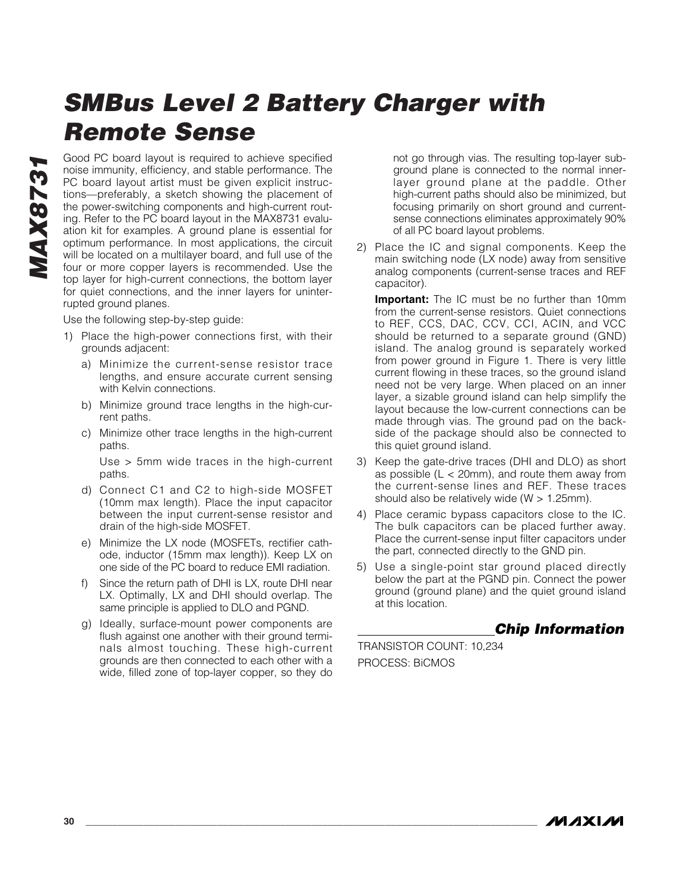Good PC board layout is required to achieve specified noise immunity, efficiency, and stable performance. The PC board layout artist must be given explicit instructions—preferably, a sketch showing the placement of the power-switching components and high-current routing. Refer to the PC board layout in the MAX8731 evaluation kit for examples. A ground plane is essential for optimum performance. In most applications, the circuit will be located on a multilayer board, and full use of the four or more copper layers is recommended. Use the top layer for high-current connections, the bottom layer for quiet connections, and the inner layers for uninterrupted ground planes.

Use the following step-by-step guide:

- 1) Place the high-power connections first, with their grounds adjacent:
	- a) Minimize the current-sense resistor trace lengths, and ensure accurate current sensing with Kelvin connections.
	- b) Minimize ground trace lengths in the high-current paths.
	- c) Minimize other trace lengths in the high-current paths.

Use > 5mm wide traces in the high-current paths.

- d) Connect C1 and C2 to high-side MOSFET (10mm max length). Place the input capacitor between the input current-sense resistor and drain of the high-side MOSFET.
- e) Minimize the LX node (MOSFETs, rectifier cathode, inductor (15mm max length)). Keep LX on one side of the PC board to reduce EMI radiation.
- f) Since the return path of DHI is LX, route DHI near LX. Optimally, LX and DHI should overlap. The same principle is applied to DLO and PGND.
- g) Ideally, surface-mount power components are flush against one another with their ground terminals almost touching. These high-current grounds are then connected to each other with a wide, filled zone of top-layer copper, so they do

not go through vias. The resulting top-layer subground plane is connected to the normal innerlayer ground plane at the paddle. Other high-current paths should also be minimized, but focusing primarily on short ground and currentsense connections eliminates approximately 90% of all PC board layout problems.

2) Place the IC and signal components. Keep the main switching node (LX node) away from sensitive analog components (current-sense traces and REF capacitor).

**Important:** The IC must be no further than 10mm from the current-sense resistors. Quiet connections to REF, CCS, DAC, CCV, CCI, ACIN, and VCC should be returned to a separate ground (GND) island. The analog ground is separately worked from power ground in Figure 1. There is very little current flowing in these traces, so the ground island need not be very large. When placed on an inner layer, a sizable ground island can help simplify the layout because the low-current connections can be made through vias. The ground pad on the backside of the package should also be connected to this quiet ground island.

- 3) Keep the gate-drive traces (DHI and DLO) as short as possible  $(L < 20$ mm), and route them away from the current-sense lines and REF. These traces should also be relatively wide ( $W > 1.25$ mm).
- 4) Place ceramic bypass capacitors close to the IC. The bulk capacitors can be placed further away. Place the current-sense input filter capacitors under the part, connected directly to the GND pin.
- 5) Use a single-point star ground placed directly below the part at the PGND pin. Connect the power ground (ground plane) and the quiet ground island at this location.

### *Chip Information*

TRANSISTOR COUNT: 10,234 PROCESS: BiCMOS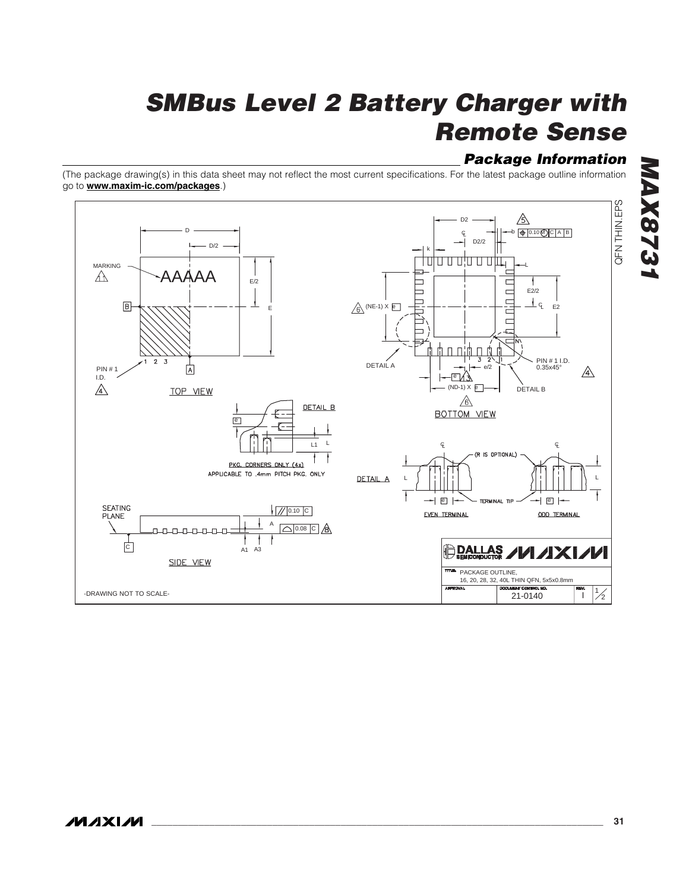### *Package Information*

(The package drawing(s) in this data sheet may not reflect the most current specifications. For the latest package outline information go to **www.maxim-ic.com/packages**.)